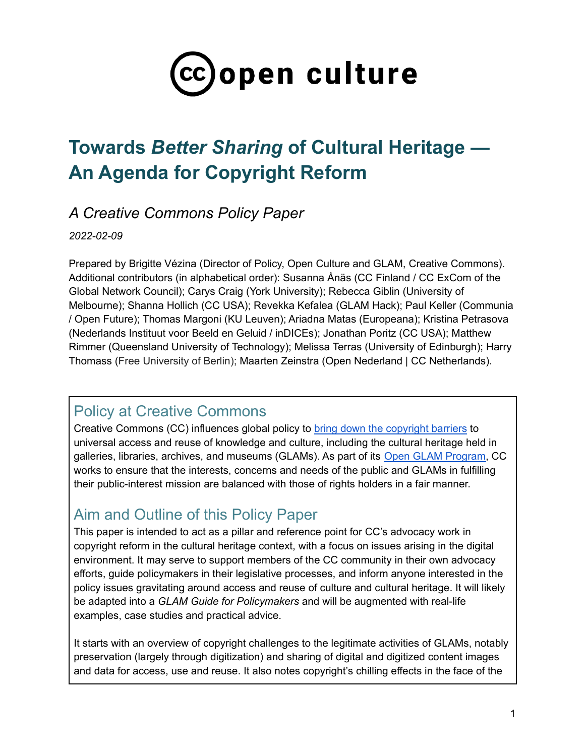

# **Towards** *Better Sharing* **of Cultural Heritage — An Agenda for Copyright Reform**

# *A Creative Commons Policy Paper*

## *2022-02-09*

Prepared by Brigitte Vézina (Director of Policy, Open Culture and GLAM, Creative Commons). Additional contributors (in alphabetical order): Susanna Ånäs (CC Finland / CC ExCom of the Global Network Council); Carys Craig (York University); Rebecca Giblin (University of Melbourne); Shanna Hollich (CC USA); Revekka Kefalea (GLAM Hack); Paul Keller (Communia / Open Future); Thomas Margoni (KU Leuven); Ariadna Matas (Europeana); Kristina Petrasova (Nederlands Instituut voor Beeld en Geluid / inDICEs); Jonathan Poritz (CC USA); Matthew Rimmer (Queensland University of Technology); Melissa Terras (University of Edinburgh); Harry Thomass (Free University of Berlin); Maarten Zeinstra (Open Nederland | CC Netherlands).

# Policy at Creative Commons

Creative Commons (CC) influences global policy to bring down the [copyright](https://creativecommons.org/about/program-areas/policy-advocacy-copyright-reform/reform/) barriers to universal access and reuse of knowledge and culture, including the cultural heritage held in galleries, libraries, archives, and museums (GLAMs). As part of its Open GLAM [Program,](https://creativecommons.org/2021/06/10/were-launching-the-cc-open-glam-program/) CC works to ensure that the interests, concerns and needs of the public and GLAMs in fulfilling their public-interest mission are balanced with those of rights holders in a fair manner.

# Aim and Outline of this Policy Paper

This paper is intended to act as a pillar and reference point for CC's advocacy work in copyright reform in the cultural heritage context, with a focus on issues arising in the digital environment. It may serve to support members of the CC community in their own advocacy efforts, guide policymakers in their legislative processes, and inform anyone interested in the policy issues gravitating around access and reuse of culture and cultural heritage. It will likely be adapted into a *GLAM Guide for Policymakers* and will be augmented with real-life examples, case studies and practical advice.

It starts with an overview of copyright challenges to the legitimate activities of GLAMs, notably preservation (largely through digitization) and sharing of digital and digitized content images and data for access, use and reuse. It also notes copyright's chilling effects in the face of the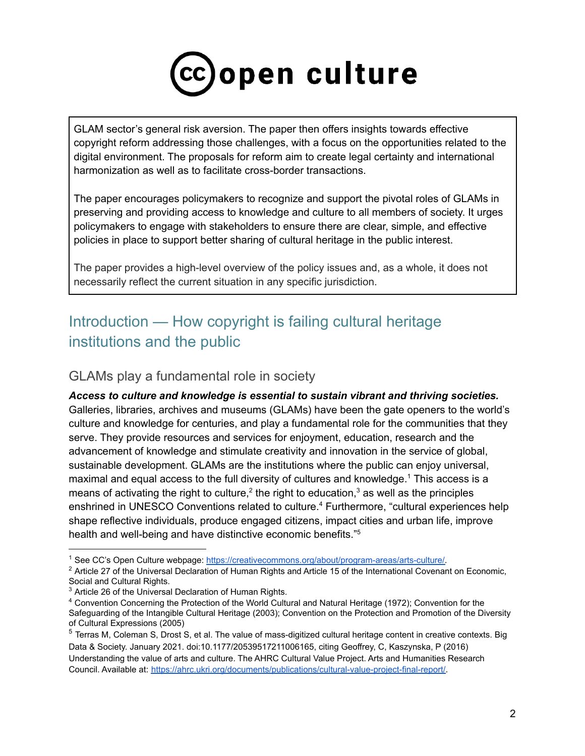

GLAM sector's general risk aversion. The paper then offers insights towards effective copyright reform addressing those challenges, with a focus on the opportunities related to the digital environment. The proposals for reform aim to create legal certainty and international harmonization as well as to facilitate cross-border transactions.

The paper encourages policymakers to recognize and support the pivotal roles of GLAMs in preserving and providing access to knowledge and culture to all members of society. It urges policymakers to engage with stakeholders to ensure there are clear, simple, and effective policies in place to support better sharing of cultural heritage in the public interest.

The paper provides a high-level overview of the policy issues and, as a whole, it does not necessarily reflect the current situation in any specific jurisdiction.

# Introduction — How copyright is failing cultural heritage institutions and the public

## GLAMs play a fundamental role in society

*Access to culture and knowledge is essential to sustain vibrant and thriving societies.* Galleries, libraries, archives and museums (GLAMs) have been the gate openers to the world's culture and knowledge for centuries, and play a fundamental role for the communities that they serve. They provide resources and services for enjoyment, education, research and the advancement of knowledge and stimulate creativity and innovation in the service of global, sustainable development. GLAMs are the institutions where the public can enjoy universal, maximal and equal access to the full diversity of cultures and knowledge. <sup>1</sup> This access is a means of activating the right to culture,<sup>2</sup> the right to education,<sup>3</sup> as well as the principles enshrined in UNESCO Conventions related to culture. <sup>4</sup> Furthermore, "cultural experiences help shape reflective individuals, produce engaged citizens, impact cities and urban life, improve health and well-being and have distinctive economic benefits."<sup>5</sup>

<sup>1</sup> See CC's Open Culture webpage: [https://creativecommons.org/about/program-areas/arts-culture/.](https://creativecommons.org/about/program-areas/arts-culture/)

<sup>&</sup>lt;sup>2</sup> Article 27 of the Universal Declaration of Human Rights and Article 15 of the International Covenant on Economic, Social and Cultural Rights.

<sup>&</sup>lt;sup>3</sup> Article 26 of the Universal Declaration of Human Rights.

<sup>4</sup> Convention Concerning the Protection of the World Cultural and Natural Heritage (1972); Convention for the Safeguarding of the Intangible Cultural Heritage (2003); Convention on the Protection and Promotion of the Diversity of Cultural Expressions (2005)

<sup>&</sup>lt;sup>5</sup> Terras M, Coleman S, Drost S, et al. The value of mass-digitized cultural heritage content in creative contexts. Big Data & Society. January 2021. doi:10.1177/20539517211006165, citing Geoffrey, C, Kaszynska, P (2016) Understanding the value of arts and culture. The AHRC Cultural Value Project. Arts and Humanities Research Council. Available at: [https://ahrc.ukri.org/documents/publications/cultural-value-project-final-report/.](https://ahrc.ukri.org/documents/publications/cultural-value-project-final-report/)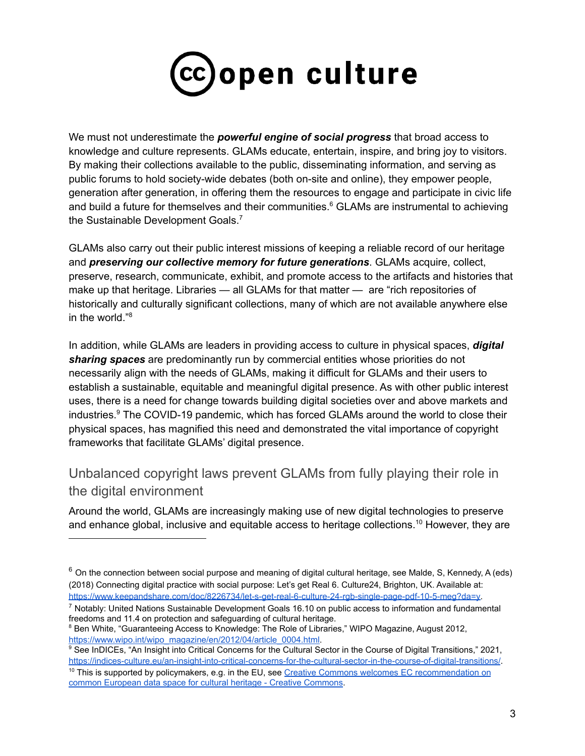

We must not underestimate the *powerful engine of social progress* that broad access to knowledge and culture represents. GLAMs educate, entertain, inspire, and bring joy to visitors. By making their collections available to the public, disseminating information, and serving as public forums to hold society-wide debates (both on-site and online), they empower people, generation after generation, in offering them the resources to engage and participate in civic life and build a future for themselves and their communities. <sup>6</sup> GLAMs are instrumental to achieving the Sustainable Development Goals.<sup>7</sup>

GLAMs also carry out their public interest missions of keeping a reliable record of our heritage and *preserving our collective memory for future generations*. GLAMs acquire, collect, preserve, research, communicate, exhibit, and promote access to the artifacts and histories that make up that heritage. Libraries — all GLAMs for that matter — are "rich repositories of historically and culturally significant collections, many of which are not available anywhere else in the world." 8

In addition, while GLAMs are leaders in providing access to culture in physical spaces, *digital sharing spaces* are predominantly run by commercial entities whose priorities do not necessarily align with the needs of GLAMs, making it difficult for GLAMs and their users to establish a sustainable, equitable and meaningful digital presence. As with other public interest uses, there is a need for change towards building digital societies over and above markets and industries. <sup>9</sup> The COVID-19 pandemic, which has forced GLAMs around the world to close their physical spaces, has magnified this need and demonstrated the vital importance of copyright frameworks that facilitate GLAMs' digital presence.

# Unbalanced copyright laws prevent GLAMs from fully playing their role in the digital environment

Around the world, GLAMs are increasingly making use of new digital technologies to preserve and enhance global, inclusive and equitable access to heritage collections.<sup>10</sup> However, they are

 $6$  On the connection between social purpose and meaning of digital cultural heritage, see Malde, S, Kennedy, A (eds) (2018) Connecting digital practice with social purpose: Let's get Real 6. Culture24, Brighton, UK. Available at: [https://www.keepandshare.com/doc/8226734/let-s-get-real-6-culture-24-rgb-single-page-pdf-10-5-meg?da=y.](https://www.keepandshare.com/doc/8226734/let-s-get-real-6-culture-24-rgb-single-page-pdf-10-5-meg?da=y)

<sup>7</sup> Notably: United Nations Sustainable Development Goals 16.10 on public access to information and fundamental freedoms and 11.4 on protection and safeguarding of cultural heritage.

<sup>&</sup>lt;sup>8</sup> Ben White, "Guaranteeing Access to Knowledge: The Role of Libraries," WIPO Magazine, August 2012, [https://www.wipo.int/wipo\\_magazine/en/2012/04/article\\_0004.html.](https://www.wipo.int/wipo_magazine/en/2012/04/article_0004.html)

<sup>&</sup>lt;sup>9</sup> See InDICEs, "An Insight into Critical Concerns for the Cultural Sector in the Course of Digital Transitions," 2021, <https://indices-culture.eu/an-insight-into-critical-concerns-for-the-cultural-sector-in-the-course-of-digital-transitions/>.

<sup>&</sup>lt;sup>10</sup> This is supported by policymakers, e.g. in the EU, see [Creative Commons welcomes EC recommendation on](https://creativecommons.org/2021/11/19/creative-commons-welcomes-ec-recommendation-on-common-european-data-space-for-cultural-heritage/) [common European data space for cultural heritage - Creative Commons](https://creativecommons.org/2021/11/19/creative-commons-welcomes-ec-recommendation-on-common-european-data-space-for-cultural-heritage/).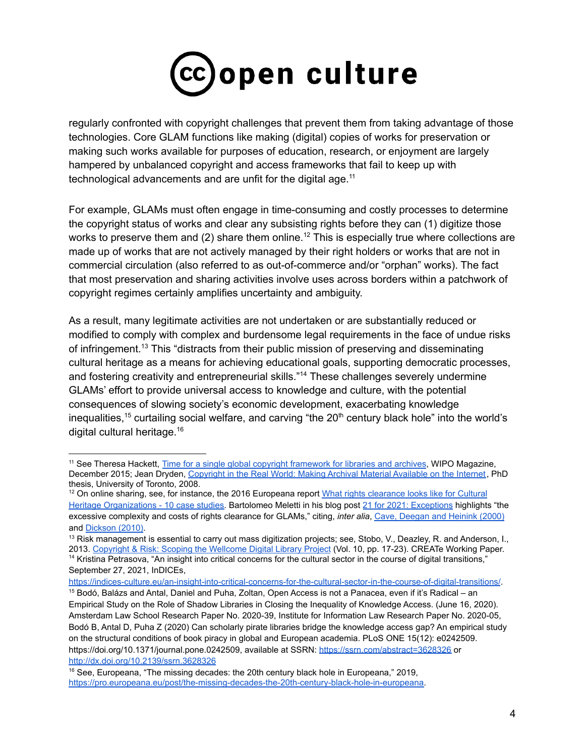

regularly confronted with copyright challenges that prevent them from taking advantage of those technologies. Core GLAM functions like making (digital) copies of works for preservation or making such works available for purposes of education, research, or enjoyment are largely hampered by unbalanced copyright and access frameworks that fail to keep up with technological advancements and are unfit for the digital age. $11$ 

For example, GLAMs must often engage in time-consuming and costly processes to determine the copyright status of works and clear any subsisting rights before they can (1) digitize those works to preserve them and (2) share them online.<sup>12</sup> This is especially true where collections are made up of works that are not actively managed by their right holders or works that are not in commercial circulation (also referred to as out-of-commerce and/or "orphan" works). The fact that most preservation and sharing activities involve uses across borders within a patchwork of copyright regimes certainly amplifies uncertainty and ambiguity.

As a result, many legitimate activities are not undertaken or are substantially reduced or modified to comply with complex and burdensome legal requirements in the face of undue risks of infringement.<sup>13</sup> This "distracts from their public mission of preserving and disseminating cultural heritage as a means for achieving educational goals, supporting democratic processes, and fostering creativity and entrepreneurial skills." <sup>14</sup> These challenges severely undermine GLAMs' effort to provide universal access to knowledge and culture, with the potential consequences of slowing society's economic development, exacerbating knowledge inequalities,<sup>15</sup> curtailing social welfare, and carving "the 20<sup>th</sup> century black hole" into the world's digital cultural heritage. 16

September 27, 2021, InDICEs,

<sup>&</sup>lt;sup>11</sup> See Theresa Hackett, [Time for a single global copyright framework for libraries and archives](https://pro.europeana.eu/files/Europeana_Professional/IPR/160331rights_clearance_case_studies_public.pdf), WIPO Magazine, December 2015; Jean Dryden, Copyright in the Real [World: Making Archival Material Available on the Internet](https://tspace.library.utoronto.ca/bitstream/1807/11198/1/Dryden_Jean_E_200806_PhD_thesis.pdf), PhD thesis, University of Toronto, 2008.

<sup>&</sup>lt;sup>12</sup> On online sharing, see, for instance, the 2016 Europeana report [What rights clearance looks like for Cultural](https://pro.europeana.eu/files/Europeana_Professional/IPR/160331rights_clearance_case_studies_public.pdf) [Heritage Organizations - 10 case studies.](https://pro.europeana.eu/files/Europeana_Professional/IPR/160331rights_clearance_case_studies_public.pdf) Bartolomeo Meletti in his blog post [21 for 2021: Exceptions](https://www.create.ac.uk/blog/2021/11/19/21-for-2021-exceptions/) highlights "the excessive complexity and costs of rights clearance for GLAMs," citing, *inter alia*, [Cave, Deegan and](https://www.copyrightevidence.org/wiki/index.php/Cave,_Deegan_and_Heinink_(2000)) Heinink (2000) and [Dickson \(2010\)](https://www.copyrightevidence.org/wiki/index.php/Dickson_(2010)).

<sup>&</sup>lt;sup>14</sup> Kristina Petrasova, "An insight into critical concerns for the cultural sector in the course of digital transitions,"  $13$  Risk management is essential to carry out mass digitization projects; see, Stobo, V., Deazley, R. and Anderson, I., 2013. [Copyright & Risk: Scoping the Wellcome Digital](https://www.create.ac.uk/wp-content/uploads/2013/12/CREATe-Working-Paper-No.10.pdf) Library Project (Vol. 10, pp. 17-23). CREATe Working Paper.

<https://indices-culture.eu/an-insight-into-critical-concerns-for-the-cultural-sector-in-the-course-of-digital-transitions/>.

<sup>15</sup> Bodó, Balázs and Antal, Daniel and Puha, Zoltan, Open Access is not a Panacea, even if it's Radical – an Empirical Study on the Role of Shadow Libraries in Closing the Inequality of Knowledge Access. (June 16, 2020). Amsterdam Law School Research Paper No. 2020-39, Institute for Information Law Research Paper No. 2020-05, Bodó B, Antal D, Puha Z (2020) Can scholarly pirate libraries bridge the knowledge access gap? An empirical study on the structural conditions of book piracy in global and European academia. PLoS ONE 15(12): e0242509. https://doi.org/10.1371/journal.pone.0242509, available at SSRN: <https://ssrn.com/abstract=3628326> or [http://dx.doi.org/10.2139/ssrn.3628326](https://dx.doi.org/10.2139/ssrn.3628326)

<sup>&</sup>lt;sup>16</sup> See, Europeana, "The missing decades: the 20th century black hole in Europeana," 2019, [https://pro.europeana.eu/post/the-missing-decades-the-20th-century-black-hole-in-europeana.](https://pro.europeana.eu/post/the-missing-decades-the-20th-century-black-hole-in-europeana)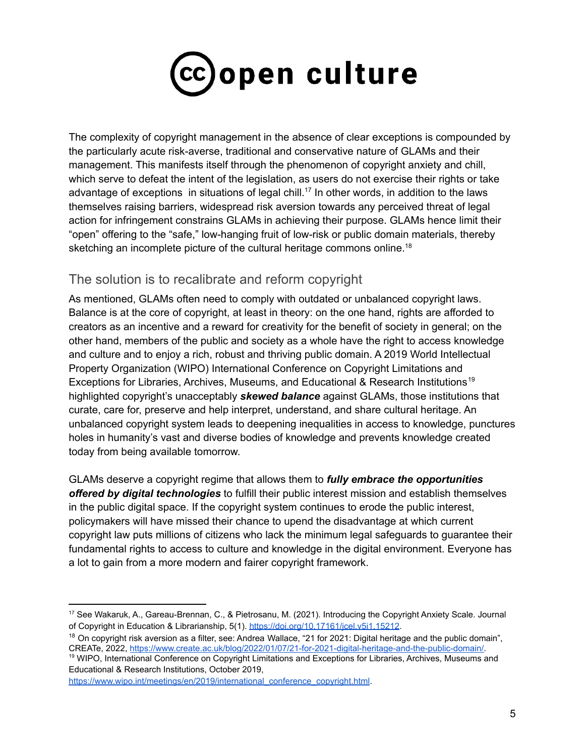

The complexity of copyright management in the absence of clear exceptions is compounded by the particularly acute risk-averse, traditional and conservative nature of GLAMs and their management. This manifests itself through the phenomenon of copyright anxiety and chill, which serve to defeat the intent of the legislation, as users do not exercise their rights or take advantage of exceptions in situations of legal chill.<sup>17</sup> In other words, in addition to the laws themselves raising barriers, widespread risk aversion towards any perceived threat of legal action for infringement constrains GLAMs in achieving their purpose. GLAMs hence limit their "open" offering to the "safe," low-hanging fruit of low-risk or public domain materials, thereby sketching an incomplete picture of the cultural heritage commons online.<sup>18</sup>

## The solution is to recalibrate and reform copyright

As mentioned, GLAMs often need to comply with outdated or unbalanced copyright laws. Balance is at the core of copyright, at least in theory: on the one hand, rights are afforded to creators as an incentive and a reward for creativity for the benefit of society in general; on the other hand, members of the public and society as a whole have the right to access knowledge and culture and to enjoy a rich, robust and thriving public domain. A 2019 World Intellectual Property Organization (WIPO) International Conference on Copyright Limitations and Exceptions for Libraries, Archives, Museums, and Educational & Research Institutions<sup>19</sup> highlighted copyright's unacceptably *skewed balance* against GLAMs, those institutions that curate, care for, preserve and help interpret, understand, and share cultural heritage. An unbalanced copyright system leads to deepening inequalities in access to knowledge, punctures holes in humanity's vast and diverse bodies of knowledge and prevents knowledge created today from being available tomorrow.

GLAMs deserve a copyright regime that allows them to *fully embrace the opportunities offered by digital technologies* to fulfill their public interest mission and establish themselves in the public digital space. If the copyright system continues to erode the public interest, policymakers will have missed their chance to upend the disadvantage at which current copyright law puts millions of citizens who lack the minimum legal safeguards to guarantee their fundamental rights to access to culture and knowledge in the digital environment. Everyone has a lot to gain from a more modern and fairer copyright framework.

<sup>19</sup> WIPO, International Conference on Copyright Limitations and Exceptions for Libraries, Archives, Museums and Educational & Research Institutions, October 2019,

[https://www.wipo.int/meetings/en/2019/international\\_conference\\_copyright.html](https://www.wipo.int/meetings/en/2019/international_conference_copyright.html).

<sup>17</sup> See Wakaruk, A., Gareau-Brennan, C., & Pietrosanu, M. (2021). Introducing the Copyright Anxiety Scale. Journal of Copyright in Education & Librarianship, 5(1). <https://doi.org/10.17161/jcel.v5i1.15212>.

 $18$  On copyright risk aversion as a filter, see: Andrea Wallace, "21 for 2021: Digital heritage and the public domain", CREATe, 2022, [https://www.create.ac.uk/blog/2022/01/07/21-for-2021-digital-heritage-and-the-public-domain/.](https://www.create.ac.uk/blog/2022/01/07/21-for-2021-digital-heritage-and-the-public-domain/)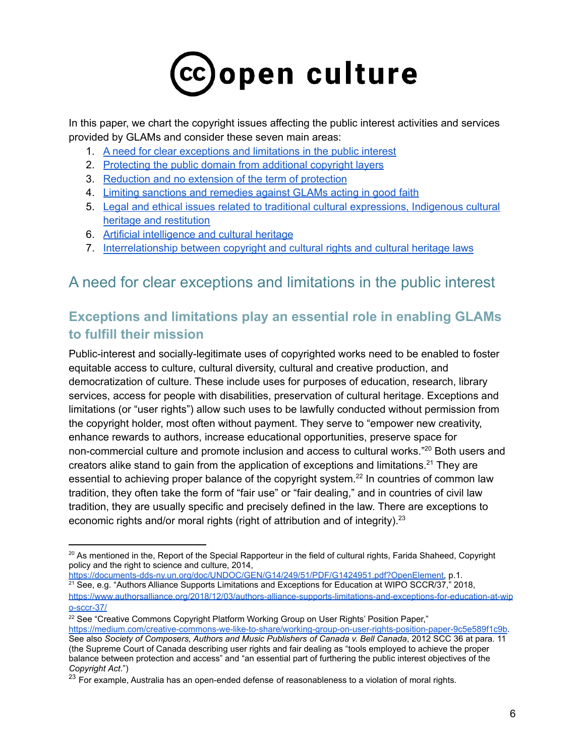# cc)open culture

In this paper, we chart the copyright issues affecting the public interest activities and services provided by GLAMs and consider these seven main areas:

- 1. A need for clear [exceptions](#page-5-0) and limitations in the public interest
- 2. [Protecting](#page-15-0) the public domain from additional copyright layers
- 3. [Reduction](#page-17-0) and no extension of the term of protection
- 4. Limiting [sanctions](#page-18-0) and remedies against GLAMs acting in good faith
- 5. Legal and ethical issues related to traditional cultural [expressions,](#page-18-1) Indigenous cultural heritage and [restitution](#page-18-1)
- 6. Artificial [intelligence](#page-21-0) and cultural heritage
- 7. Interrelationship between copyright and cultural rights and cultural heritage laws

# <span id="page-5-0"></span>A need for clear exceptions and limitations in the public interest

# **Exceptions and limitations play an essential role in enabling GLAMs to fulfill their mission**

Public-interest and socially-legitimate uses of copyrighted works need to be enabled to foster equitable access to culture, cultural diversity, cultural and creative production, and democratization of culture. These include uses for purposes of education, research, library services, access for people with disabilities, preservation of cultural heritage. Exceptions and limitations (or "user rights") allow such uses to be lawfully conducted without permission from the copyright holder, most often without payment. They serve to "empower new creativity, enhance rewards to authors, increase educational opportunities, preserve space for non-commercial culture and promote inclusion and access to cultural works."<sup>20</sup> Both users and creators alike stand to gain from the application of exceptions and limitations.<sup>21</sup> They are essential to achieving proper balance of the copyright system.<sup>22</sup> In countries of common law tradition, they often take the form of "fair use" or "fair dealing," and in countries of civil law tradition, they are usually specific and precisely defined in the law. There are exceptions to economic rights and/or moral rights (right of attribution and of integrity).<sup>23</sup>

 $21$  See, e.g. "Authors Alliance Supports Limitations and Exceptions for Education at WIPO SCCR/37," 2018, [https://documents-dds-ny.un.org/doc/UNDOC/GEN/G14/249/51/PDF/G1424951.pdf?OpenElement,](https://documents-dds-ny.un.org/doc/UNDOC/GEN/G14/249/51/PDF/G1424951.pdf?OpenElement) p.1.

[https://www.authorsalliance.org/2018/12/03/authors-alliance-supports-limitations-and-exceptions-for-education-at-wip](https://www.authorsalliance.org/2018/12/03/authors-alliance-supports-limitations-and-exceptions-for-education-at-wipo-sccr-37/) [o-sccr-37/](https://www.authorsalliance.org/2018/12/03/authors-alliance-supports-limitations-and-exceptions-for-education-at-wipo-sccr-37/)

 $20$  As mentioned in the, Report of the Special Rapporteur in the field of cultural rights, Farida Shaheed, Copyright policy and the right to science and culture, 2014,

<sup>&</sup>lt;sup>22</sup> See "Creative Commons Copyright Platform Working Group on User Rights' Position Paper," <https://medium.com/creative-commons-we-like-to-share/working-group-on-user-rights-position-paper-9c5e589f1c9b>. See also *Society of Composers, Authors and Music Publishers of Canada v. Bell Canada*, 2012 SCC 36 at para. 11 (the Supreme Court of Canada describing user rights and fair dealing as "tools employed to achieve the proper balance between protection and access" and "an essential part of furthering the public interest objectives of the *Copyright Act*.")

<sup>&</sup>lt;sup>23</sup> For example, Australia has an open-ended defense of reasonableness to a violation of moral rights.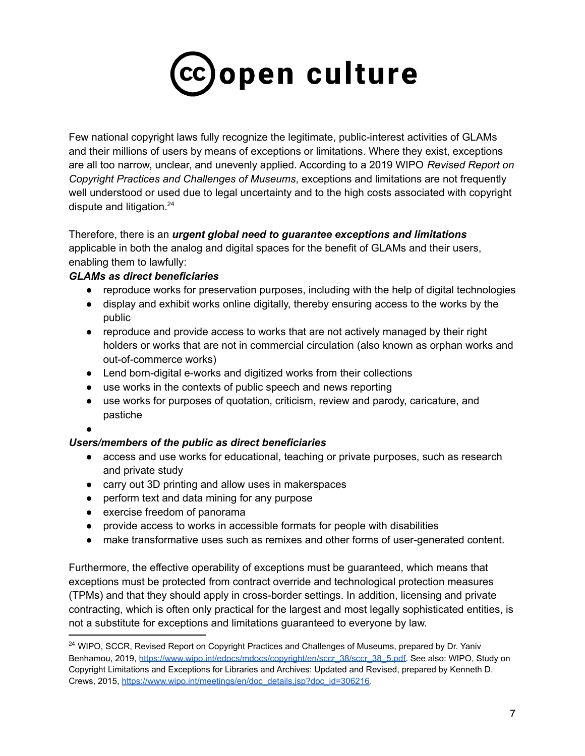

Few national copyright laws fully recognize the legitimate, public-interest activities of GLAMs and their millions of users by means of exceptions or limitations. Where they exist, exceptions are all too narrow, unclear, and unevenly applied. According to a 2019 WIPO *Revised Report on Copyright Practices and Challenges of Museums*, exceptions and limitations are not frequently well understood or used due to legal uncertainty and to the high costs associated with copyright dispute and litigation.<sup>24</sup>

Therefore, there is an *urgent global need to guarantee exceptions and limitations* applicable in both the analog and digital spaces for the benefit of GLAMs and their users, enabling them to lawfully:

## *GLAMs as direct beneficiaries*

- reproduce works for preservation purposes, including with the help of digital technologies
- display and exhibit works online digitally, thereby ensuring access to the works by the public
- reproduce and provide access to works that are not actively managed by their right holders or works that are not in commercial circulation (also known as orphan works and out-of-commerce works)
- Lend born-digital e-works and digitized works from their collections
- use works in the contexts of public speech and news reporting
- use works for purposes of quotation, criticism, review and parody, caricature, and pastiche

●

## *Users/members of the public as direct beneficiaries*

- access and use works for educational, teaching or private purposes, such as research and private study
- carry out 3D printing and allow uses in makerspaces
- perform text and data mining for any purpose
- exercise freedom of panorama
- provide access to works in accessible formats for people with disabilities
- make transformative uses such as remixes and other forms of user-generated content.

Furthermore, the effective operability of exceptions must be guaranteed, which means that exceptions must be protected from contract override and technological protection measures (TPMs) and that they should apply in cross-border settings. In addition, licensing and private contracting, which is often only practical for the largest and most legally sophisticated entities, is not a substitute for exceptions and limitations guaranteed to everyone by law.

<sup>&</sup>lt;sup>24</sup> WIPO, SCCR, Revised Report on Copyright Practices and Challenges of Museums, prepared by Dr. Yaniv Benhamou, 2019, [https://www.wipo.int/edocs/mdocs/copyright/en/sccr\\_38/sccr\\_38\\_5.pdf.](https://www.wipo.int/edocs/mdocs/copyright/en/sccr_38/sccr_38_5.pdf) See also: WIPO, Study on Copyright Limitations and Exceptions for Libraries and Archives: Updated and Revised, prepared by Kenneth D. Crews, 2015, [https://www.wipo.int/meetings/en/doc\\_details.jsp?doc\\_id=306216.](https://www.wipo.int/meetings/en/doc_details.jsp?doc_id=306216)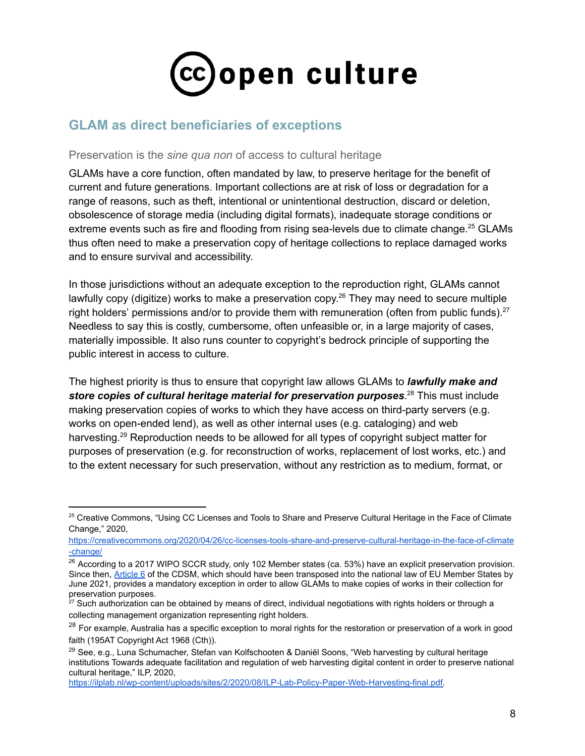

# **GLAM as direct beneficiaries of exceptions**

#### Preservation is the *sine qua non* of access to cultural heritage

GLAMs have a core function, often mandated by law, to preserve heritage for the benefit of current and future generations. Important collections are at risk of loss or degradation for a range of reasons, such as theft, intentional or unintentional destruction, discard or deletion, obsolescence of storage media (including digital formats), inadequate storage conditions or extreme events such as fire and flooding from rising sea-levels due to climate change.<sup>25</sup> GLAMs thus often need to make a preservation copy of heritage collections to replace damaged works and to ensure survival and accessibility.

In those jurisdictions without an adequate exception to the reproduction right, GLAMs cannot lawfully copy (digitize) works to make a preservation copy.<sup>26</sup> They may need to secure multiple right holders' permissions and/or to provide them with remuneration (often from public funds).<sup>27</sup> Needless to say this is costly, cumbersome, often unfeasible or, in a large majority of cases, materially impossible. It also runs counter to copyright's bedrock principle of supporting the public interest in access to culture.

The highest priority is thus to ensure that copyright law allows GLAMs to *lawfully make and store copies of cultural heritage material for preservation purposes*. <sup>28</sup> This must include making preservation copies of works to which they have access on third-party servers (e.g. works on open-ended lend), as well as other internal uses (e.g. cataloging) and web harvesting.<sup>29</sup> Reproduction needs to be allowed for all types of copyright subject matter for purposes of preservation (e.g. for reconstruction of works, replacement of lost works, etc.) and to the extent necessary for such preservation, without any restriction as to medium, format, or

<sup>&</sup>lt;sup>25</sup> Creative Commons, "Using CC Licenses and Tools to Share and Preserve Cultural Heritage in the Face of Climate Change," 2020,

[https://creativecommons.org/2020/04/26/cc-licenses-tools-share-and-preserve-cultural-heritage-in-the-face-of-climate](https://creativecommons.org/2020/04/26/cc-licenses-tools-share-and-preserve-cultural-heritage-in-the-face-of-climate-change/) [-change/](https://creativecommons.org/2020/04/26/cc-licenses-tools-share-and-preserve-cultural-heritage-in-the-face-of-climate-change/)

<sup>&</sup>lt;sup>26</sup> According to a 2017 WIPO SCCR study, only 102 Member states (ca. 53%) have an explicit preservation provision. Since then, [Article 6](https://eur-lex.europa.eu/legal-content/EN/TXT/?uri=CELEX:32019L0790#d1e1052-92-1) of the CDSM, which should have been transposed into the national law of EU Member States by June 2021, provides a mandatory exception in order to allow GLAMs to make copies of works in their collection for preservation purposes.

 $27$  Such authorization can be obtained by means of direct, individual negotiations with rights holders or through a collecting management organization representing right holders.

<sup>&</sup>lt;sup>28</sup> For example, Australia has a specific exception to moral rights for the restoration or preservation of a work in good faith (195AT Copyright Act 1968 (Cth)).

<sup>&</sup>lt;sup>29</sup> See, e.g., Luna Schumacher, Stefan van Kolfschooten & Daniël Soons, "Web harvesting by cultural heritage institutions Towards adequate facilitation and regulation of web harvesting digital content in order to preserve national cultural heritage," ILP, 2020,

[https://ilplab.nl/wp-content/uploads/sites/2/2020/08/ILP-Lab-Policy-Paper-Web-Harvesting-final.pdf.](https://ilplab.nl/wp-content/uploads/sites/2/2020/08/ILP-Lab-Policy-Paper-Web-Harvesting-final.pdf)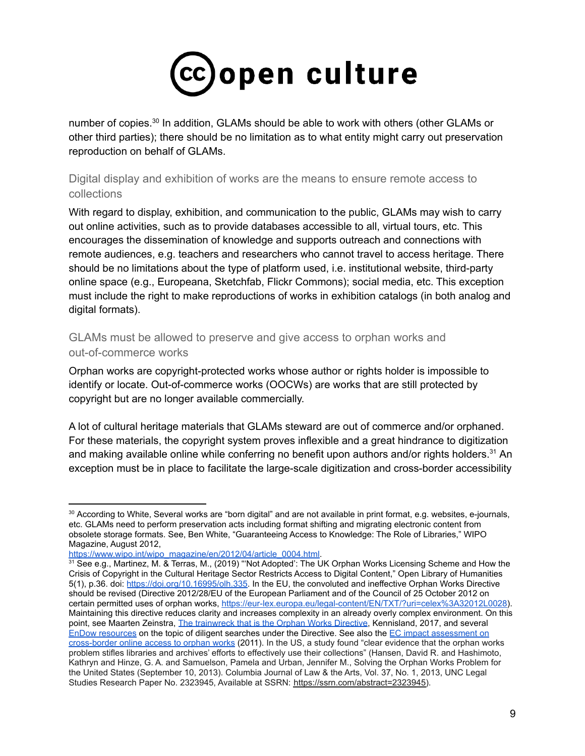# (cc)open culture

number of copies.<sup>30</sup> In addition, GLAMs should be able to work with others (other GLAMs or other third parties); there should be no limitation as to what entity might carry out preservation reproduction on behalf of GLAMs.

## Digital display and exhibition of works are the means to ensure remote access to collections

With regard to display, exhibition, and communication to the public, GLAMs may wish to carry out online activities, such as to provide databases accessible to all, virtual tours, etc. This encourages the dissemination of knowledge and supports outreach and connections with remote audiences, e.g. teachers and researchers who cannot travel to access heritage. There should be no limitations about the type of platform used, i.e. institutional website, third-party online space (e.g., Europeana, Sketchfab, Flickr Commons); social media, etc. This exception must include the right to make reproductions of works in exhibition catalogs (in both analog and digital formats).

## GLAMs must be allowed to preserve and give access to orphan works and out-of-commerce works

Orphan works are copyright-protected works whose author or rights holder is impossible to identify or locate. Out-of-commerce works (OOCWs) are works that are still protected by copyright but are no longer available commercially.

A lot of cultural heritage materials that GLAMs steward are out of commerce and/or orphaned. For these materials, the copyright system proves inflexible and a great hindrance to digitization and making available online while conferring no benefit upon authors and/or rights holders.<sup>31</sup> An exception must be in place to facilitate the large-scale digitization and cross-border accessibility

<sup>30</sup> According to White, Several works are "born digital" and are not available in print format, e.g. websites, e-journals, etc. GLAMs need to perform preservation acts including format shifting and migrating electronic content from obsolete storage formats. See, Ben White, "Guaranteeing Access to Knowledge: The Role of Libraries," WIPO Magazine, August 2012,

[https://www.wipo.int/wipo\\_magazine/en/2012/04/article\\_0004.html.](https://www.wipo.int/wipo_magazine/en/2012/04/article_0004.html)

<sup>&</sup>lt;sup>31</sup> See e.g., Martinez, M. & Terras, M., (2019) "'Not Adopted': The UK Orphan Works Licensing Scheme and How the Crisis of Copyright in the Cultural Heritage Sector Restricts Access to Digital Content," Open Library of Humanities 5(1), p.36. doi: <https://doi.org/10.16995/olh.335>. In the EU, the convoluted and ineffective Orphan Works Directive should be revised (Directive 2012/28/EU of the European Parliament and of the Council of 25 October 2012 on certain permitted uses of orphan works, <https://eur-lex.europa.eu/legal-content/EN/TXT/?uri=celex%3A32012L0028>). Maintaining this directive reduces clarity and increases complexity in an already overly complex environment. On this point, see Maarten Zeinstra, The trainwreck that is [the Orphan Works Directive,](https://www.kl.nl/opinie/trainwreck-orphan-works-directive/) Kennisland, 2017, and several [EnDow resources](http://diligentsearch.eu/resources/) on the topic of diligent searches under the Directive. See also the [EC impact assessment](https://www.copyrightevidence.org/wiki/index.php/European_Commission_(2011b)) on [cross-border online access to orphan works](https://www.copyrightevidence.org/wiki/index.php/European_Commission_(2011b)) (2011). In the US, a study found "clear evidence that the orphan works problem stifles libraries and archives' efforts to effectively use their collections" (Hansen, David R. and Hashimoto, Kathryn and Hinze, G. A. and Samuelson, Pamela and Urban, Jennifer M., Solving the Orphan Works Problem for the United States (September 10, 2013). Columbia Journal of Law & the Arts, Vol. 37, No. 1, 2013, UNC Legal Studies Research Paper No. 2323945, Available at SSRN: [https://ssrn.com/abstract=2323945\)](https://ssrn.com/abstract=2323945).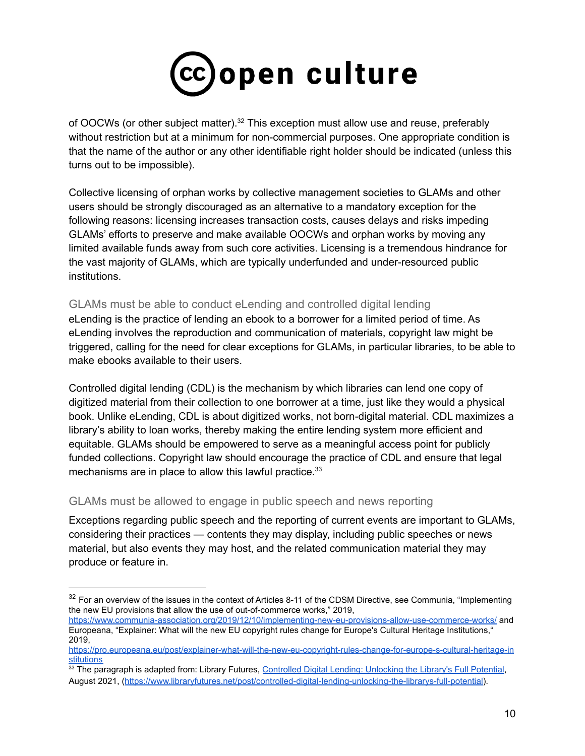

of OOCWs (or other subject matter).<sup>32</sup> This exception must allow use and reuse, preferably without restriction but at a minimum for non-commercial purposes. One appropriate condition is that the name of the author or any other identifiable right holder should be indicated (unless this turns out to be impossible).

Collective licensing of orphan works by collective management societies to GLAMs and other users should be strongly discouraged as an alternative to a mandatory exception for the following reasons: licensing increases transaction costs, causes delays and risks impeding GLAMs' efforts to preserve and make available OOCWs and orphan works by moving any limited available funds away from such core activities. Licensing is a tremendous hindrance for the vast majority of GLAMs, which are typically underfunded and under-resourced public institutions.

## GLAMs must be able to conduct eLending and controlled digital lending

eLending is the practice of lending an ebook to a borrower for a limited period of time. As eLending involves the reproduction and communication of materials, copyright law might be triggered, calling for the need for clear exceptions for GLAMs, in particular libraries, to be able to make ebooks available to their users.

Controlled digital lending (CDL) is the mechanism by which libraries can lend one copy of digitized material from their collection to one borrower at a time, just like they would a physical book. Unlike eLending, CDL is about digitized works, not born-digital material. CDL maximizes a library's ability to loan works, thereby making the entire lending system more efficient and equitable. GLAMs should be empowered to serve as a meaningful access point for publicly funded collections. Copyright law should encourage the practice of CDL and ensure that legal mechanisms are in place to allow this lawful practice.<sup>33</sup>

#### GLAMs must be allowed to engage in public speech and news reporting

Exceptions regarding public speech and the reporting of current events are important to GLAMs, considering their practices — contents they may display, including public speeches or news material, but also events they may host, and the related communication material they may produce or feature in.

<sup>&</sup>lt;sup>32</sup> For an overview of the issues in the context of Articles 8-11 of the CDSM Directive, see Communia, "Implementing the new EU provisions that allow the use of out-of-commerce works," 2019,

<https://www.communia-association.org/2019/12/10/implementing-new-eu-provisions-allow-use-commerce-works/> and Europeana, "Explainer: What will the new EU copyright rules change for Europe's Cultural Heritage Institutions," 2019,

[https://pro.europeana.eu/post/explainer-what-will-the-new-eu-copyright-rules-change-for-europe-s-cultural-heritage-in](https://pro.europeana.eu/post/explainer-what-will-the-new-eu-copyright-rules-change-for-europe-s-cultural-heritage-institutions) **[stitutions](https://pro.europeana.eu/post/explainer-what-will-the-new-eu-copyright-rules-change-for-europe-s-cultural-heritage-institutions)** 

<sup>33</sup> The paragraph is adapted from: Library Futures, Controlled [Digital Lending: Unlocking the Library's Full Potential,](https://www.libraryfutures.net/post/controlled-digital-lending-unlocking-the-librarys-full-potential) August 2021, ([https://www.libraryfutures.net/post/controlled-digital-lending-unlocking-the-librarys-full-potential\)](https://www.libraryfutures.net/post/controlled-digital-lending-unlocking-the-librarys-full-potential).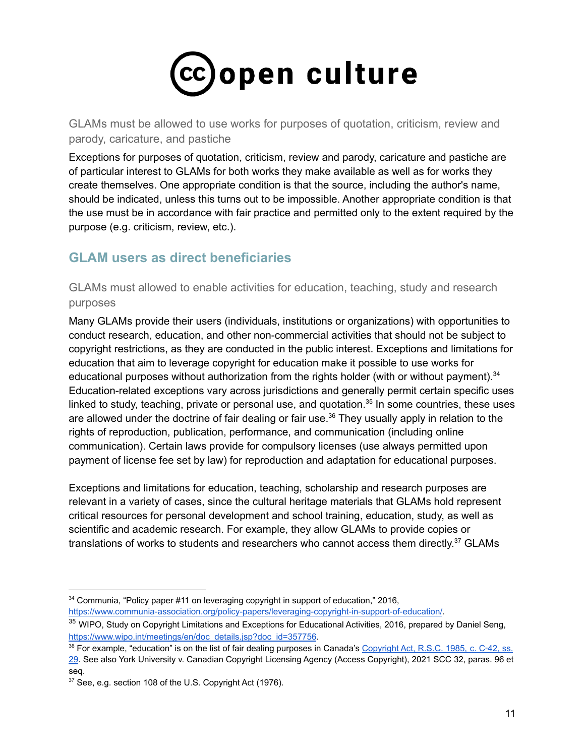

GLAMs must be allowed to use works for purposes of quotation, criticism, review and parody, caricature, and pastiche

Exceptions for purposes of quotation, criticism, review and parody, caricature and pastiche are of particular interest to GLAMs for both works they make available as well as for works they create themselves. One appropriate condition is that the source, including the author's name, should be indicated, unless this turns out to be impossible. Another appropriate condition is that the use must be in accordance with fair practice and permitted only to the extent required by the purpose (e.g. criticism, review, etc.).

## **GLAM users as direct beneficiaries**

GLAMs must allowed to enable activities for education, teaching, study and research purposes

Many GLAMs provide their users (individuals, institutions or organizations) with opportunities to conduct research, education, and other non-commercial activities that should not be subject to copyright restrictions, as they are conducted in the public interest. Exceptions and limitations for education that aim to leverage copyright for education make it possible to use works for educational purposes without authorization from the rights holder (with or without payment). $34$ Education-related exceptions vary across jurisdictions and generally permit certain specific uses linked to study, teaching, private or personal use, and quotation.<sup>35</sup> In some countries, these uses are allowed under the doctrine of fair dealing or fair use.<sup>36</sup> They usually apply in relation to the rights of reproduction, publication, performance, and communication (including online communication). Certain laws provide for compulsory licenses (use always permitted upon payment of license fee set by law) for reproduction and adaptation for educational purposes.

Exceptions and limitations for education, teaching, scholarship and research purposes are relevant in a variety of cases, since the cultural heritage materials that GLAMs hold represent critical resources for personal development and school training, education, study, as well as scientific and academic research. For example, they allow GLAMs to provide copies or translations of works to students and researchers who cannot access them directly.<sup>37</sup> GLAMs

<https://www.communia-association.org/policy-papers/leveraging-copyright-in-support-of-education/>.

<sup>34</sup> Communia, "Policy paper #11 on leveraging copyright in support of education," 2016,

<sup>&</sup>lt;sup>35</sup> WIPO, Study on Copyright Limitations and Exceptions for Educational Activities, 2016, prepared by Daniel Seng, [https://www.wipo.int/meetings/en/doc\\_details.jsp?doc\\_id=357756](https://www.wipo.int/meetings/en/doc_details.jsp?doc_id=357756).

<sup>36</sup> For example, "education" is on the list of fair dealing purposes in Canada's [Copyright Act, R.S.C. 1985,](https://www.canlii.org/en/ca/laws/stat/rsc-1985-c-c-42/latest/rsc-1985-c-c-42.html#sec29_smooth) c. C‑42, ss. [29](https://www.canlii.org/en/ca/laws/stat/rsc-1985-c-c-42/latest/rsc-1985-c-c-42.html#sec29_smooth). See also York University v. Canadian Copyright Licensing Agency (Access Copyright), 2021 SCC 32, paras. 96 et seq.

<sup>37</sup> See, e.g. section 108 of the U.S. Copyright Act (1976).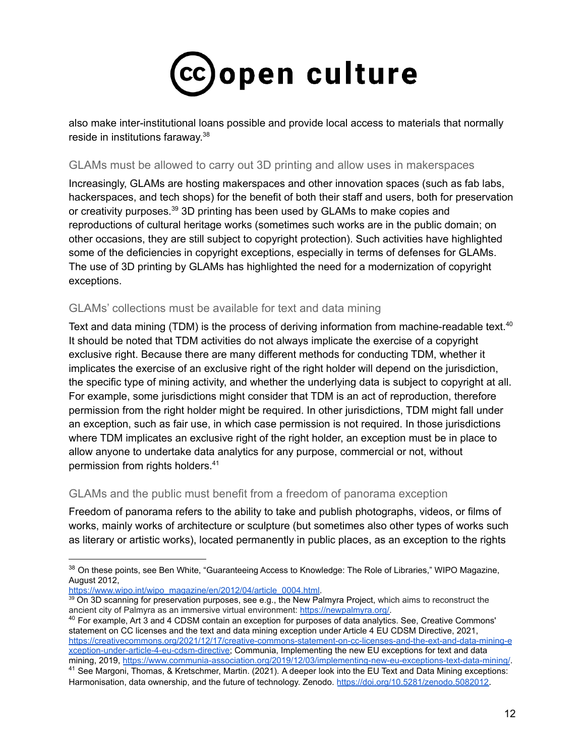

also make inter-institutional loans possible and provide local access to materials that normally reside in institutions faraway.<sup>38</sup>

#### GLAMs must be allowed to carry out 3D printing and allow uses in makerspaces

Increasingly, GLAMs are hosting makerspaces and other innovation spaces (such as fab labs, hackerspaces, and tech shops) for the benefit of both their staff and users, both for preservation or creativity purposes.<sup>39</sup> 3D printing has been used by GLAMs to make copies and reproductions of cultural heritage works (sometimes such works are in the public domain; on other occasions, they are still subject to copyright protection). Such activities have highlighted some of the deficiencies in copyright exceptions, especially in terms of defenses for GLAMs. The use of 3D printing by GLAMs has highlighted the need for a modernization of copyright exceptions.

## GLAMs' collections must be available for text and data mining

Text and data mining (TDM) is the process of deriving information from machine-readable text.<sup>40</sup> It should be noted that TDM activities do not always implicate the exercise of a copyright exclusive right. Because there are many different methods for conducting TDM, whether it implicates the exercise of an exclusive right of the right holder will depend on the jurisdiction, the specific type of mining activity, and whether the underlying data is subject to copyright at all. For example, some jurisdictions might consider that TDM is an act of reproduction, therefore permission from the right holder might be required. In other jurisdictions, TDM might fall under an exception, such as fair use, in which case permission is not required. In those jurisdictions where TDM implicates an exclusive right of the right holder, an exception must be in place to allow anyone to undertake data analytics for any purpose, commercial or not, without permission from rights holders. 41

## GLAMs and the public must benefit from a freedom of panorama exception

Freedom of panorama refers to the ability to take and publish photographs, videos, or films of works, mainly works of architecture or sculpture (but sometimes also other types of works such as literary or artistic works), located permanently in public places, as an exception to the rights

[https://www.wipo.int/wipo\\_magazine/en/2012/04/article\\_0004.html.](https://www.wipo.int/wipo_magazine/en/2012/04/article_0004.html)

<sup>39</sup> On 3D scanning for preservation purposes, see e.g., the New Palmyra Project, which aims to reconstruct the ancient city of Palmyra as an immersive virtual environment: [https://newpalmyra.org/.](https://newpalmyra.org/)

<sup>40</sup> For example, Art 3 and 4 CDSM contain an exception for purposes of data analytics. See, Creative Commons' statement on CC licenses and the text and data mining exception under Article 4 EU CDSM Directive, 2021, [https://creativecommons.org/2021/12/17/creative-commons-statement-on-cc-licenses-and-the-ext-and-data-mining-e](https://creativecommons.org/2021/12/17/creative-commons-statement-on-cc-licenses-and-the-ext-and-data-mining-exception-under-article-4-eu-cdsm-directive/) [xception-under-article-4-eu-cdsm-directive;](https://creativecommons.org/2021/12/17/creative-commons-statement-on-cc-licenses-and-the-ext-and-data-mining-exception-under-article-4-eu-cdsm-directive/) Communia, Implementing the new EU exceptions for text and data mining, 2019, <https://www.communia-association.org/2019/12/03/implementing-new-eu-exceptions-text-data-mining/>.

<sup>&</sup>lt;sup>38</sup> On these points, see Ben White, "Guaranteeing Access to Knowledge: The Role of Libraries," WIPO Magazine, August 2012,

<sup>&</sup>lt;sup>41</sup> See Margoni, Thomas, & Kretschmer, Martin. (2021). A deeper look into the EU Text and Data Mining exceptions: Harmonisation, data ownership, and the future of technology. Zenodo. <https://doi.org/10.5281/zenodo.5082012>.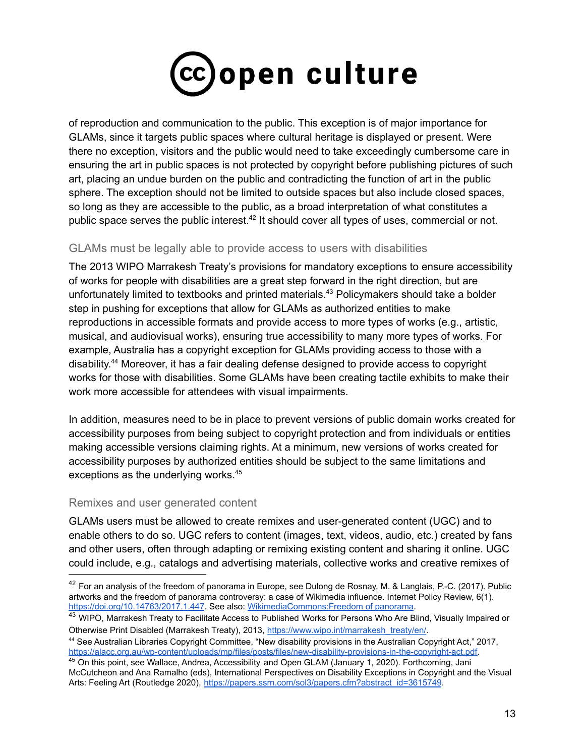

of reproduction and communication to the public. This exception is of major importance for GLAMs, since it targets public spaces where cultural heritage is displayed or present. Were there no exception, visitors and the public would need to take exceedingly cumbersome care in ensuring the art in public spaces is not protected by copyright before publishing pictures of such art, placing an undue burden on the public and contradicting the function of art in the public sphere. The exception should not be limited to outside spaces but also include closed spaces, so long as they are accessible to the public, as a broad interpretation of what constitutes a public space serves the public interest.<sup>42</sup> It should cover all types of uses, commercial or not.

## GLAMs must be legally able to provide access to users with disabilities

The 2013 WIPO Marrakesh Treaty's provisions for mandatory exceptions to ensure accessibility of works for people with disabilities are a great step forward in the right direction, but are unfortunately limited to textbooks and printed materials. <sup>43</sup> Policymakers should take a bolder step in pushing for exceptions that allow for GLAMs as authorized entities to make reproductions in accessible formats and provide access to more types of works (e.g., artistic, musical, and audiovisual works), ensuring true accessibility to many more types of works. For example, Australia has a copyright exception for GLAMs providing access to those with a disability.<sup>44</sup> Moreover, it has a fair dealing defense designed to provide access to copyright works for those with disabilities. Some GLAMs have been creating tactile exhibits to make their work more accessible for attendees with visual impairments.

In addition, measures need to be in place to prevent versions of public domain works created for accessibility purposes from being subject to copyright protection and from individuals or entities making accessible versions claiming rights. At a minimum, new versions of works created for accessibility purposes by authorized entities should be subject to the same limitations and exceptions as the underlying works. 45

## Remixes and user generated content

GLAMs users must be allowed to create remixes and user-generated content (UGC) and to enable others to do so. UGC refers to content (images, text, videos, audio, etc.) created by fans and other users, often through adapting or remixing existing content and sharing it online. UGC could include, e.g., catalogs and advertising materials, collective works and creative remixes of

 $42$  For an analysis of the freedom of panorama in Europe, see Dulong de Rosnay, M. & Langlais, P.-C. (2017). Public artworks and the freedom of panorama controversy: a case of Wikimedia influence. Internet Policy Review, 6(1). <https://doi.org/10.14763/2017.1.447>. See also: [WikimediaCommons:Freedom](https://commons.wikimedia.org/wiki/Commons:Freedom_of_panorama) of panorama.

<sup>&</sup>lt;sup>43</sup> WIPO, Marrakesh Treaty to Facilitate Access to Published Works for Persons Who Are Blind, Visually Impaired or Otherwise Print Disabled (Marrakesh Treaty), 2013, [https://www.wipo.int/marrakesh\\_treaty/en/](https://www.wipo.int/marrakesh_treaty/en/).

<sup>44</sup> See Australian Libraries Copyright Committee, "New disability provisions in the Australian Copyright Act," 2017, [https://alacc.org.au/wp-content/uploads/mp/files/posts/files/new-disability-provisions-in-the-copyright-act.pdf.](https://alacc.org.au/wp-content/uploads/mp/files/posts/files/new-disability-provisions-in-the-copyright-act.pdf)

<sup>&</sup>lt;sup>45</sup> On this point, see Wallace, Andrea, Accessibility and Open GLAM (January 1, 2020). Forthcoming, Jani McCutcheon and Ana Ramalho (eds), International Perspectives on Disability Exceptions in Copyright and the Visual Arts: Feeling Art (Routledge 2020), [https://papers.ssrn.com/sol3/papers.cfm?abstract\\_id=3615749](https://papers.ssrn.com/sol3/papers.cfm?abstract_id=3615749).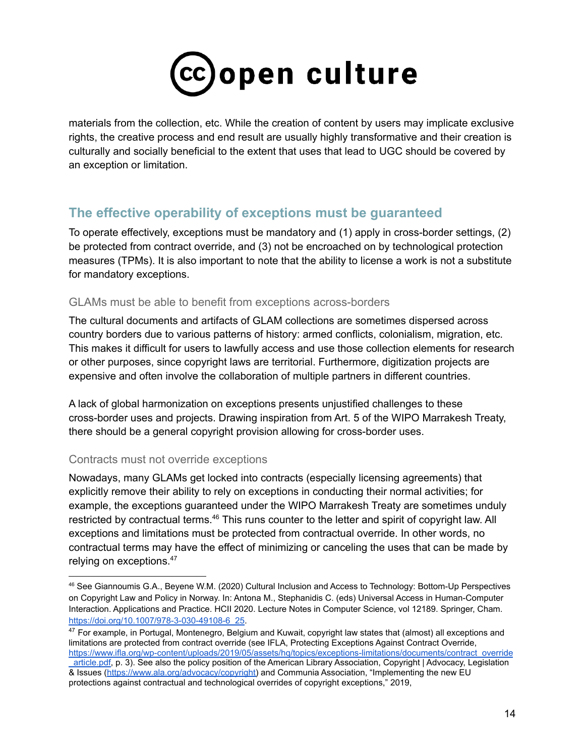

materials from the collection, etc. While the creation of content by users may implicate exclusive rights, the creative process and end result are usually highly transformative and their creation is culturally and socially beneficial to the extent that uses that lead to UGC should be covered by an exception or limitation.

## **The effective operability of exceptions must be guaranteed**

To operate effectively, exceptions must be mandatory and (1) apply in cross-border settings, (2) be protected from contract override, and (3) not be encroached on by technological protection measures (TPMs). It is also important to note that the ability to license a work is not a substitute for mandatory exceptions.

## GLAMs must be able to benefit from exceptions across-borders

The cultural documents and artifacts of GLAM collections are sometimes dispersed across country borders due to various patterns of history: armed conflicts, colonialism, migration, etc. This makes it difficult for users to lawfully access and use those collection elements for research or other purposes, since copyright laws are territorial. Furthermore, digitization projects are expensive and often involve the collaboration of multiple partners in different countries.

A lack of global harmonization on exceptions presents unjustified challenges to these cross-border uses and projects. Drawing inspiration from Art. 5 of the WIPO Marrakesh Treaty, there should be a general copyright provision allowing for cross-border uses.

## Contracts must not override exceptions

Nowadays, many GLAMs get locked into contracts (especially licensing agreements) that explicitly remove their ability to rely on exceptions in conducting their normal activities; for example, the exceptions guaranteed under the WIPO Marrakesh Treaty are sometimes unduly restricted by contractual terms.<sup>46</sup> This runs counter to the letter and spirit of copyright law. All exceptions and limitations must be protected from contractual override. In other words, no contractual terms may have the effect of minimizing or canceling the uses that can be made by relying on exceptions.<sup>47</sup>

<sup>46</sup> See Giannoumis G.A., Beyene W.M. (2020) Cultural Inclusion and Access to Technology: Bottom-Up Perspectives on Copyright Law and Policy in Norway. In: Antona M., Stephanidis C. (eds) Universal Access in Human-Computer Interaction. Applications and Practice. HCII 2020. Lecture Notes in Computer Science, vol 12189. Springer, Cham. [https://doi.org/10.1007/978-3-030-49108-6\\_25](https://doi.org/10.1007/978-3-030-49108-6_25).

 $47$  For example, in Portugal, Montenegro, Belgium and Kuwait, copyright law states that (almost) all exceptions and limitations are protected from contract override (see IFLA, Protecting Exceptions Against Contract Override, [https://www.ifla.org/wp-content/uploads/2019/05/assets/hq/topics/exceptions-limitations/documents/contract\\_override](https://www.ifla.org/wp-content/uploads/2019/05/assets/hq/topics/exceptions-limitations/documents/contract_override_article.pdf) [\\_article.pdf](https://www.ifla.org/wp-content/uploads/2019/05/assets/hq/topics/exceptions-limitations/documents/contract_override_article.pdf), p. 3). See also the policy position of the American Library Association, Copyright | Advocacy, Legislation & Issues ([https://www.ala.org/advocacy/copyright\)](https://www.ala.org/advocacy/copyright) and Communia Association, "Implementing the new EU

protections against contractual and technological overrides of copyright exceptions," 2019,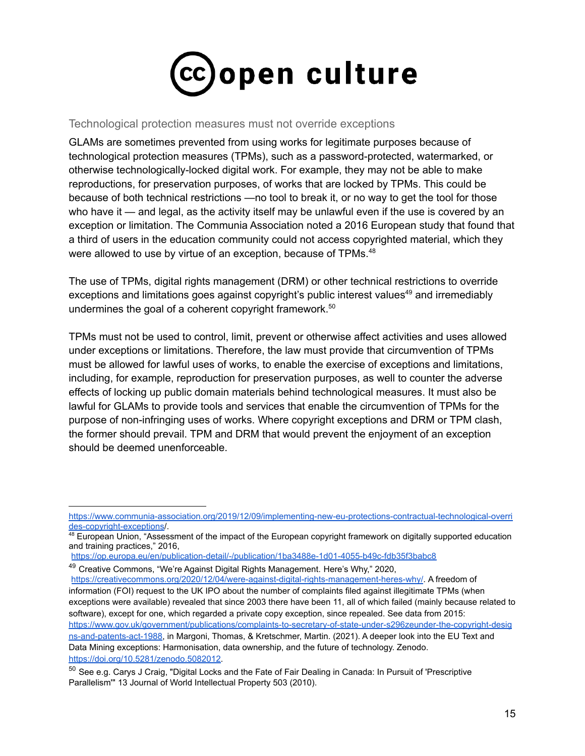

#### Technological protection measures must not override exceptions

GLAMs are sometimes prevented from using works for legitimate purposes because of technological protection measures (TPMs), such as a password-protected, watermarked, or otherwise technologically-locked digital work. For example, they may not be able to make reproductions, for preservation purposes, of works that are locked by TPMs. This could be because of both technical restrictions —no tool to break it, or no way to get the tool for those who have it — and legal, as the activity itself may be unlawful even if the use is covered by an exception or limitation. The Communia Association noted a 2016 European study that found that a third of users in the education community could not access copyrighted material, which they were allowed to use by virtue of an exception, because of TPMs.<sup>48</sup>

The use of TPMs, digital rights management (DRM) or other technical restrictions to override exceptions and limitations goes against copyright's public interest values<sup>49</sup> and irremediably undermines the goal of a coherent copyright framework. 50

TPMs must not be used to control, limit, prevent or otherwise affect activities and uses allowed under exceptions or limitations. Therefore, the law must provide that circumvention of TPMs must be allowed for lawful uses of works, to enable the exercise of exceptions and limitations, including, for example, reproduction for preservation purposes, as well to counter the adverse effects of locking up public domain materials behind technological measures. It must also be lawful for GLAMs to provide tools and services that enable the circumvention of TPMs for the purpose of non-infringing uses of works. Where copyright exceptions and DRM or TPM clash, the former should prevail. TPM and DRM that would prevent the enjoyment of an exception should be deemed unenforceable.

[https://www.communia-association.org/2019/12/09/implementing-new-eu-protections-contractual-technological-overri](https://www.communia-association.org/2019/12/09/implementing-new-eu-protections-contractual-technological-overrides-copyright-exceptions) [des-copyright-exceptions](https://www.communia-association.org/2019/12/09/implementing-new-eu-protections-contractual-technological-overrides-copyright-exceptions)/.

<sup>48</sup> European Union, "Assessment of the impact of the European copyright framework on digitally supported education and training practices," 2016,

<https://op.europa.eu/en/publication-detail/-/publication/1ba3488e-1d01-4055-b49c-fdb35f3babc8>

<sup>&</sup>lt;sup>49</sup> Creative Commons, "We're Against Digital Rights Management, Here's Why," 2020,

<https://creativecommons.org/2020/12/04/were-against-digital-rights-management-heres-why/>. A freedom of information (FOI) request to the UK IPO about the number of complaints filed against illegitimate TPMs (when exceptions were available) revealed that since 2003 there have been 11, all of which failed (mainly because related to software), except for one, which regarded a private copy exception, since repealed. See data from 2015: [https://www.gov.uk/government/publications/complaints-to-secretary-of-state-under-s296zeunder-the-copyright-desig](https://www.gov.uk/government/publications/complaints-to-secretary-of-state-under-s296zeunder-the-copyright-designs-and-patents-act-1988) [ns-and-patents-act-1988](https://www.gov.uk/government/publications/complaints-to-secretary-of-state-under-s296zeunder-the-copyright-designs-and-patents-act-1988), in Margoni, Thomas, & Kretschmer, Martin. (2021). A deeper look into the EU Text and Data Mining exceptions: Harmonisation, data ownership, and the future of technology. Zenodo. <https://doi.org/10.5281/zenodo.5082012>.

<sup>&</sup>lt;sup>50</sup> See e.g. Carys J Craig, "Digital Locks and the Fate of Fair Dealing in Canada: In Pursuit of 'Prescriptive Parallelism'" 13 Journal of World Intellectual Property 503 (2010).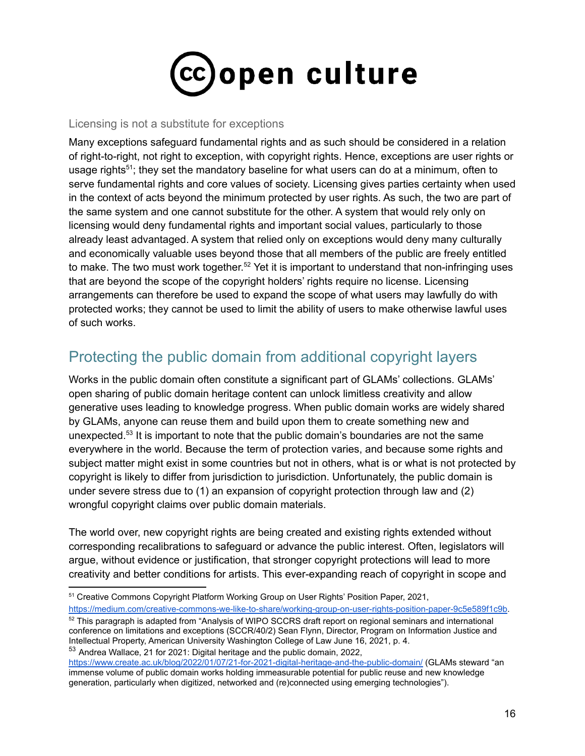

#### Licensing is not a substitute for exceptions

Many exceptions safeguard fundamental rights and as such should be considered in a relation of right-to-right, not right to exception, with copyright rights. Hence, exceptions are user rights or usage rights<sup>51</sup>; they set the mandatory baseline for what users can do at a minimum, often to serve fundamental rights and core values of society. Licensing gives parties certainty when used in the context of acts beyond the minimum protected by user rights. As such, the two are part of the same system and one cannot substitute for the other. A system that would rely only on licensing would deny fundamental rights and important social values, particularly to those already least advantaged. A system that relied only on exceptions would deny many culturally and economically valuable uses beyond those that all members of the public are freely entitled to make. The two must work together.<sup>52</sup> Yet it is important to understand that non-infringing uses that are beyond the scope of the copyright holders' rights require no license. Licensing arrangements can therefore be used to expand the scope of what users may lawfully do with protected works; they cannot be used to limit the ability of users to make otherwise lawful uses of such works.

# <span id="page-15-0"></span>Protecting the public domain from additional copyright layers

Works in the public domain often constitute a significant part of GLAMs' collections. GLAMs' open sharing of public domain heritage content can unlock limitless creativity and allow generative uses leading to knowledge progress. When public domain works are widely shared by GLAMs, anyone can reuse them and build upon them to create something new and unexpected. 53 It is important to note that the public domain's boundaries are not the same everywhere in the world. Because the term of protection varies, and because some rights and subject matter might exist in some countries but not in others, what is or what is not protected by copyright is likely to differ from jurisdiction to jurisdiction. Unfortunately, the public domain is under severe stress due to (1) an expansion of copyright protection through law and (2) wrongful copyright claims over public domain materials.

The world over, new copyright rights are being created and existing rights extended without corresponding recalibrations to safeguard or advance the public interest. Often, legislators will argue, without evidence or justification, that stronger copyright protections will lead to more creativity and better conditions for artists. This ever-expanding reach of copyright in scope and

<sup>51</sup> Creative Commons Copyright Platform Working Group on User Rights' Position Paper, 2021, <https://medium.com/creative-commons-we-like-to-share/working-group-on-user-rights-position-paper-9c5e589f1c9b>.

<sup>53</sup> Andrea Wallace, 21 for 2021: Digital heritage and the public domain, 2022, <sup>52</sup> This paragraph is adapted from "Analysis of WIPO SCCRS draft report on regional seminars and international conference on limitations and exceptions (SCCR/40/2) Sean Flynn, Director, Program on Information Justice and Intellectual Property, American University Washington College of Law June 16, 2021, p. 4.

<https://www.create.ac.uk/blog/2022/01/07/21-for-2021-digital-heritage-and-the-public-domain/> (GLAMs steward "an immense volume of public domain works holding immeasurable potential for public reuse and new knowledge generation, particularly when digitized, networked and (re)connected using emerging technologies").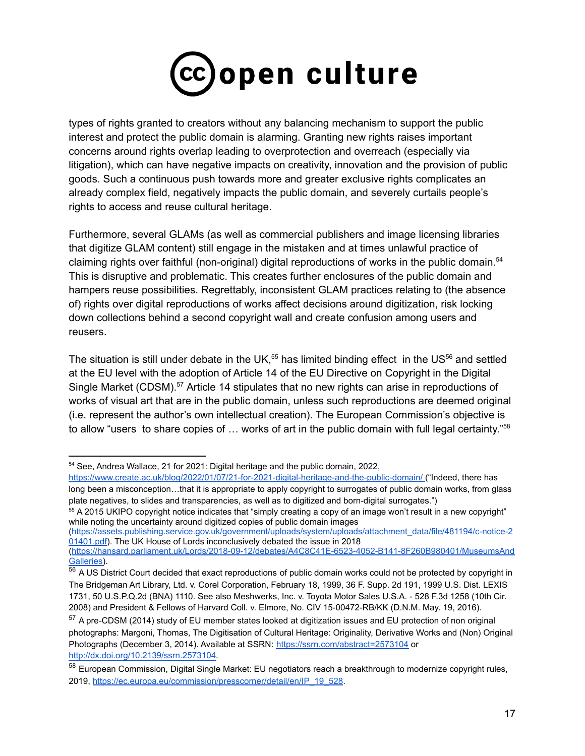

types of rights granted to creators without any balancing mechanism to support the public interest and protect the public domain is alarming. Granting new rights raises important concerns around rights overlap leading to overprotection and overreach (especially via litigation), which can have negative impacts on creativity, innovation and the provision of public goods. Such a continuous push towards more and greater exclusive rights complicates an already complex field, negatively impacts the public domain, and severely curtails people's rights to access and reuse cultural heritage.

Furthermore, several GLAMs (as well as commercial publishers and image licensing libraries that digitize GLAM content) still engage in the mistaken and at times unlawful practice of claiming rights over faithful (non-original) digital reproductions of works in the public domain. 54 This is disruptive and problematic. This creates further enclosures of the public domain and hampers reuse possibilities. Regrettably, inconsistent GLAM practices relating to (the absence of) rights over digital reproductions of works affect decisions around digitization, risk locking down collections behind a second copyright wall and create confusion among users and reusers.

The situation is still under debate in the UK,<sup>55</sup> has limited binding effect in the US<sup>56</sup> and settled at the EU level with the adoption of Article 14 of the EU Directive on Copyright in the Digital Single Market (CDSM).<sup>57</sup> Article 14 stipulates that no new rights can arise in reproductions of works of visual art that are in the public domain, unless such reproductions are deemed original (i.e. represent the author's own intellectual creation). The European Commission's objective is to allow "users to share copies of ... works of art in the public domain with full legal certainty."<sup>58</sup>

([https://assets.publishing.service.gov.uk/government/uploads/system/uploads/attachment\\_data/file/481194/c-notice-2](https://assets.publishing.service.gov.uk/government/uploads/system/uploads/attachment_data/file/481194/c-notice-201401.pdf) [01401.pdf](https://assets.publishing.service.gov.uk/government/uploads/system/uploads/attachment_data/file/481194/c-notice-201401.pdf)). The UK House of Lords inconclusively debated the issue in 2018

<sup>54</sup> See, Andrea Wallace, 21 for 2021: Digital heritage and the public domain, 2022,

<https://www.create.ac.uk/blog/2022/01/07/21-for-2021-digital-heritage-and-the-public-domain/> ("Indeed, there has long been a misconception…that it is appropriate to apply copyright to surrogates of public domain works, from glass plate negatives, to slides and transparencies, as well as to digitized and born-digital surrogates.")

<sup>55</sup> A 2015 UKIPO copyright notice indicates that "simply creating a copy of an image won't result in a new copyright" while noting the uncertainty around digitized copies of public domain images

<sup>(</sup>[https://hansard.parliament.uk/Lords/2018-09-12/debates/A4C8C41E-6523-4052-B141-8F260B980401/MuseumsAnd](https://hansard.parliament.uk/Lords/2018-09-12/debates/A4C8C41E-6523-4052-B141-8F260B980401/MuseumsAndGalleries) [Galleries\)](https://hansard.parliament.uk/Lords/2018-09-12/debates/A4C8C41E-6523-4052-B141-8F260B980401/MuseumsAndGalleries).

 $56$  A US District Court decided that exact reproductions of public domain works could not be protected by copyright in The Bridgeman Art Library, Ltd. v. Corel Corporation, February 18, 1999, 36 F. Supp. 2d 191, 1999 U.S. Dist. LEXIS 1731, 50 U.S.P.Q.2d (BNA) 1110. See also Meshwerks, Inc. v. Toyota Motor Sales U.S.A. - 528 F.3d 1258 (10th Cir. 2008) and President & Fellows of Harvard Coll. v. Elmore, No. CIV 15-00472-RB/KK (D.N.M. May. 19, 2016).

<sup>&</sup>lt;sup>57</sup> A pre-CDSM (2014) study of EU member states looked at digitization issues and EU protection of non original photographs: Margoni, Thomas, The Digitisation of Cultural Heritage: Originality, Derivative Works and (Non) Original Photographs (December 3, 2014). Available at SSRN: <https://ssrn.com/abstract=2573104> or [http://dx.doi.org/10.2139/ssrn.2573104](https://dx.doi.org/10.2139/ssrn.2573104).

<sup>58</sup> Furopean Commission. Digital Single Market: EU negotiators reach a breakthrough to modernize copyright rules, 2019, [https://ec.europa.eu/commission/presscorner/detail/en/IP\\_19\\_528](https://ec.europa.eu/commission/presscorner/detail/en/IP_19_528).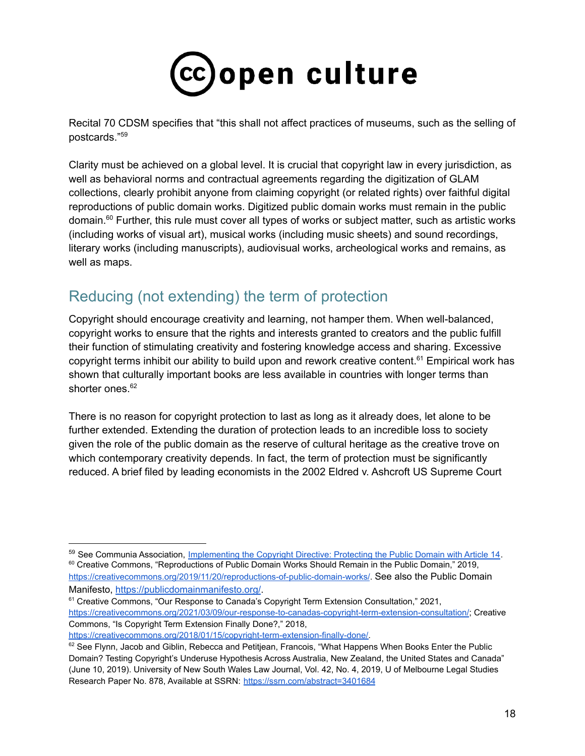

Recital 70 CDSM specifies that "this shall not affect practices of museums, such as the selling of postcards." 59

Clarity must be achieved on a global level. It is crucial that copyright law in every jurisdiction, as well as behavioral norms and contractual agreements regarding the digitization of GLAM collections, clearly prohibit anyone from claiming copyright (or related rights) over faithful digital reproductions of public domain works. Digitized public domain works must remain in the public domain. <sup>60</sup> Further, this rule must cover all types of works or subject matter, such as artistic works (including works of visual art), musical works (including music sheets) and sound recordings, literary works (including manuscripts), audiovisual works, archeological works and remains, as well as maps.

# <span id="page-17-0"></span>Reducing (not extending) the term of protection

Copyright should encourage creativity and learning, not hamper them. When well-balanced, copyright works to ensure that the rights and interests granted to creators and the public fulfill their function of stimulating creativity and fostering knowledge access and sharing. Excessive copyright terms inhibit our ability to build upon and rework creative content.<sup>61</sup> Empirical work has shown that culturally important books are less available in countries with longer terms than shorter ones. 62

There is no reason for copyright protection to last as long as it already does, let alone to be further extended. Extending the duration of protection leads to an incredible loss to society given the role of the public domain as the reserve of cultural heritage as the creative trove on which contemporary creativity depends. In fact, the term of protection must be significantly reduced. A brief filed by leading economists in the 2002 Eldred v. Ashcroft US Supreme Court

[https://creativecommons.org/2018/01/15/copyright-term-extension-finally-done/.](https://creativecommons.org/2018/01/15/copyright-term-extension-finally-done/)

<sup>&</sup>lt;sup>60</sup> Creative Commons, "Reproductions of Public Domain Works Should Remain in the Public Domain," 2019, <https://creativecommons.org/2019/11/20/reproductions-of-public-domain-works/>. See also the Public Domain Manifesto, <https://publicdomainmanifesto.org/>. <sup>59</sup> See Communia Association, Implementing the Copyright [Directive: Protecting the Public Domain with Article 14](https://www.communia-association.org/2019/06/25/implementing-copyright-directive-protecting-public-domain-article-14/).

<sup>&</sup>lt;sup>61</sup> Creative Commons, "Our Response to Canada's Copyright Term Extension Consultation," 2021, <https://creativecommons.org/2021/03/09/our-response-to-canadas-copyright-term-extension-consultation/>; Creative Commons, "Is Copyright Term Extension Finally Done?," 2018,

 $62$  See Flynn, Jacob and Giblin, Rebecca and Petitjean, Francois, "What Happens When Books Enter the Public Domain? Testing Copyright's Underuse Hypothesis Across Australia, New Zealand, the United States and Canada" (June 10, 2019). University of New South Wales Law Journal, Vol. 42, No. 4, 2019, U of Melbourne Legal Studies Research Paper No. 878, Available at SSRN: <https://ssrn.com/abstract=3401684>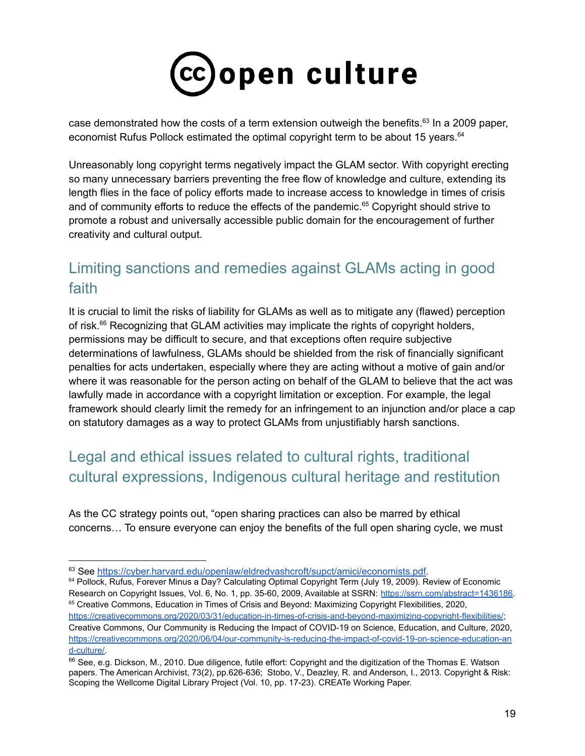

case demonstrated how the costs of a term extension outweigh the benefits.<sup>63</sup> In a 2009 paper, economist Rufus Pollock estimated the optimal copyright term to be about 15 years.<sup>64</sup>

Unreasonably long copyright terms negatively impact the GLAM sector. With copyright erecting so many unnecessary barriers preventing the free flow of knowledge and culture, extending its length flies in the face of policy efforts made to increase access to knowledge in times of crisis and of community efforts to reduce the effects of the pandemic.<sup>65</sup> Copyright should strive to promote a robust and universally accessible public domain for the encouragement of further creativity and cultural output.

# <span id="page-18-0"></span>Limiting sanctions and remedies against GLAMs acting in good faith

It is crucial to limit the risks of liability for GLAMs as well as to mitigate any (flawed) perception of risk.<sup>66</sup> Recognizing that GLAM activities may implicate the rights of copyright holders, permissions may be difficult to secure, and that exceptions often require subjective determinations of lawfulness, GLAMs should be shielded from the risk of financially significant penalties for acts undertaken, especially where they are acting without a motive of gain and/or where it was reasonable for the person acting on behalf of the GLAM to believe that the act was lawfully made in accordance with a copyright limitation or exception. For example, the legal framework should clearly limit the remedy for an infringement to an injunction and/or place a cap on statutory damages as a way to protect GLAMs from unjustifiably harsh sanctions.

# <span id="page-18-1"></span>Legal and ethical issues related to cultural rights, traditional cultural expressions, Indigenous cultural heritage and restitution

As the CC strategy points out, "open sharing practices can also be marred by ethical concerns… To ensure everyone can enjoy the benefits of the full open sharing cycle, we must

<sup>63</sup> See [https://cyber.harvard.edu/openlaw/eldredvashcroft/supct/amici/economists.pdf.](https://cyber.harvard.edu/openlaw/eldredvashcroft/supct/amici/economists.pdf)

<sup>&</sup>lt;sup>65</sup> Creative Commons, Education in Times of Crisis and Beyond: Maximizing Copyright Flexibilities, 2020, <https://creativecommons.org/2020/03/31/education-in-times-of-crisis-and-beyond-maximizing-copyright-flexibilities/>; Creative Commons, Our Community is Reducing the Impact of COVID-19 on Science, Education, and Culture, 2020, [https://creativecommons.org/2020/06/04/our-community-is-reducing-the-impact-of-covid-19-on-science-education-an](https://creativecommons.org/2020/06/04/our-community-is-reducing-the-impact-of-covid-19-on-science-education-and-culture/) [d-culture/.](https://creativecommons.org/2020/06/04/our-community-is-reducing-the-impact-of-covid-19-on-science-education-and-culture/) <sup>64</sup> Pollock, Rufus, Forever Minus a Day? Calculating Optimal Copyright Term (July 19, 2009). Review of Economic Research on Copyright Issues, Vol. 6, No. 1, pp. 35-60, 2009, Available at SSRN: [https://ssrn.com/abstract=1436186.](https://ssrn.com/abstract=1436186)

<sup>66</sup> See, e.g. Dickson, M., 2010. Due diligence, futile effort: Copyright and the digitization of the Thomas E. Watson papers. The American Archivist, 73(2), pp.626-636; Stobo, V., Deazley, R. and Anderson, I., 2013. Copyright & Risk: Scoping the Wellcome Digital Library Project (Vol. 10, pp. 17-23). CREATe Working Paper.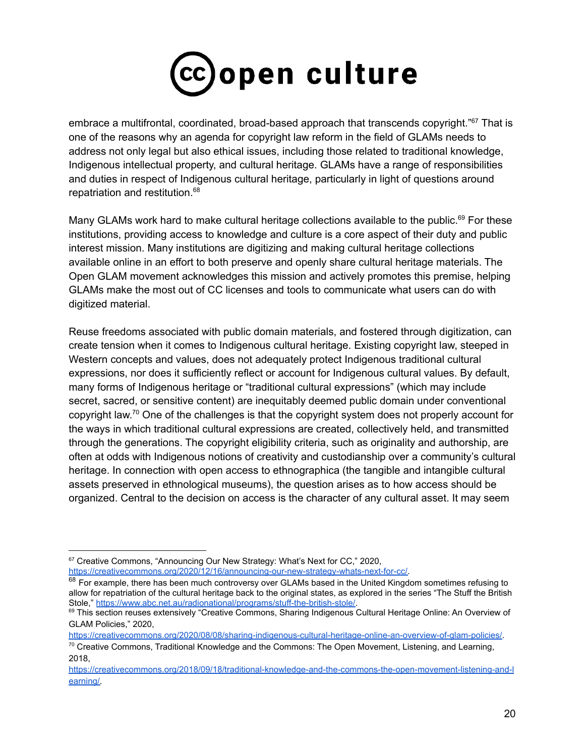

embrace a multifrontal, coordinated, broad-based approach that transcends copyright."<sup>67</sup> That is one of the reasons why an agenda for copyright law reform in the field of GLAMs needs to address not only legal but also ethical issues, including those related to traditional knowledge, Indigenous intellectual property, and cultural heritage. GLAMs have a range of responsibilities and duties in respect of Indigenous cultural heritage, particularly in light of questions around repatriation and restitution. 68

Many GLAMs work hard to make cultural heritage collections available to the public.<sup>69</sup> For these institutions, providing access to knowledge and culture is a core aspect of their duty and public interest mission. Many institutions are digitizing and making cultural heritage collections available online in an effort to both preserve and openly share cultural heritage materials. The Open GLAM movement acknowledges this mission and actively promotes this premise, helping GLAMs make the most out of CC licenses and tools to communicate what users can do with digitized material.

Reuse freedoms associated with public domain materials, and fostered through digitization, can create tension when it comes to Indigenous cultural heritage. Existing copyright law, steeped in Western concepts and values, does not adequately protect Indigenous traditional cultural expressions, nor does it sufficiently reflect or account for Indigenous cultural values. By default, many forms of Indigenous heritage or "traditional cultural expressions" (which may include secret, sacred, or sensitive content) are inequitably deemed public domain under conventional copyright law.<sup>70</sup> One of the challenges is that the copyright system does not properly account for the ways in which traditional cultural expressions are created, collectively held, and transmitted through the generations. The copyright eligibility criteria, such as originality and authorship, are often at odds with Indigenous notions of creativity and custodianship over a community's cultural heritage. In connection with open access to ethnographica (the tangible and intangible cultural assets preserved in ethnological museums), the question arises as to how access should be organized. Central to the decision on access is the character of any cultural asset. It may seem

[https://creativecommons.org/2020/08/08/sharing-indigenous-cultural-heritage-online-an-overview-of-glam-policies/.](https://creativecommons.org/2020/08/08/sharing-indigenous-cultural-heritage-online-an-overview-of-glam-policies/)

<sup>&</sup>lt;sup>67</sup> Creative Commons, "Announcing Our New Strategy: What's Next for CC," 2020, [https://creativecommons.org/2020/12/16/announcing-our-new-strategy-whats-next-for-cc/.](https://creativecommons.org/2020/12/16/announcing-our-new-strategy-whats-next-for-cc/)

<sup>&</sup>lt;sup>68</sup> For example, there has been much controversy over GLAMs based in the United Kingdom sometimes refusing to allow for repatriation of the cultural heritage back to the original states, as explored in the series "The Stuff the British Stole," [https://www.abc.net.au/radionational/programs/stuff-the-british-stole/.](https://www.abc.net.au/radionational/programs/stuff-the-british-stole/)

<sup>&</sup>lt;sup>69</sup> This section reuses extensively "Creative Commons, Sharing Indigenous Cultural Heritage Online: An Overview of GLAM Policies," 2020,

 $70$  Creative Commons, Traditional Knowledge and the Commons: The Open Movement, Listening, and Learning, 2018,

[https://creativecommons.org/2018/09/18/traditional-knowledge-and-the-commons-the-open-movement-listening-and-l](https://creativecommons.org/2018/09/18/traditional-knowledge-and-the-commons-the-open-movement-listening-and-learning/) [earning/.](https://creativecommons.org/2018/09/18/traditional-knowledge-and-the-commons-the-open-movement-listening-and-learning/)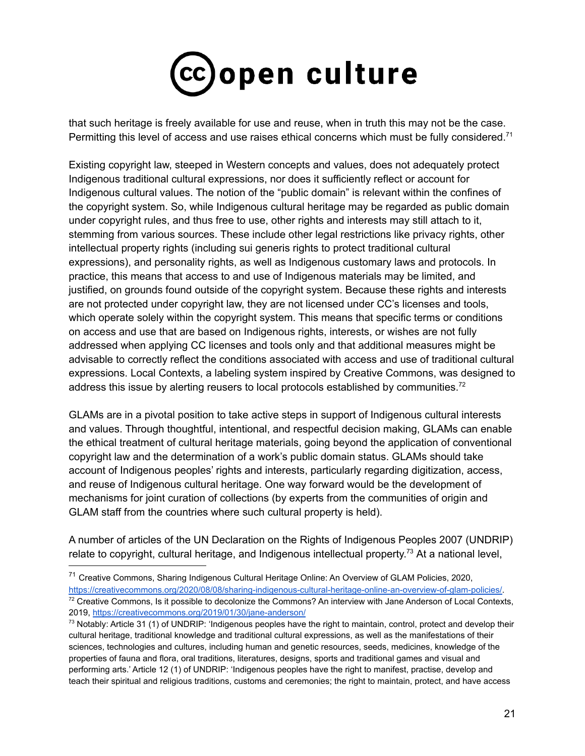

that such heritage is freely available for use and reuse, when in truth this may not be the case. Permitting this level of access and use raises ethical concerns which must be fully considered.<sup>71</sup>

Existing copyright law, steeped in Western concepts and values, does not adequately protect Indigenous traditional cultural expressions, nor does it sufficiently reflect or account for Indigenous cultural values. The notion of the "public domain" is relevant within the confines of the copyright system. So, while Indigenous cultural heritage may be regarded as public domain under copyright rules, and thus free to use, other rights and interests may still attach to it, stemming from various sources. These include other legal restrictions like privacy rights, other intellectual property rights (including sui generis rights to protect traditional cultural expressions), and personality rights, as well as Indigenous customary laws and protocols. In practice, this means that access to and use of Indigenous materials may be limited, and justified, on grounds found outside of the copyright system. Because these rights and interests are not protected under copyright law, they are not licensed under CC's licenses and tools, which operate solely within the copyright system. This means that specific terms or conditions on access and use that are based on Indigenous rights, interests, or wishes are not fully addressed when applying CC licenses and tools only and that additional measures might be advisable to correctly reflect the conditions associated with access and use of traditional cultural expressions. Local Contexts, a labeling system inspired by Creative Commons, was designed to address this issue by alerting reusers to local protocols established by communities.<sup>72</sup>

GLAMs are in a pivotal position to take active steps in support of Indigenous cultural interests and values. Through thoughtful, intentional, and respectful decision making, GLAMs can enable the ethical treatment of cultural heritage materials, going beyond the application of conventional copyright law and the determination of a work's public domain status. GLAMs should take account of Indigenous peoples' rights and interests, particularly regarding digitization, access, and reuse of Indigenous cultural heritage. One way forward would be the development of mechanisms for joint curation of collections (by experts from the communities of origin and GLAM staff from the countries where such cultural property is held).

A number of articles of the UN Declaration on the Rights of Indigenous Peoples 2007 (UNDRIP) relate to copyright, cultural heritage, and Indigenous intellectual property.<sup>73</sup> At a national level,

 $72$  Creative Commons, Is it possible to decolonize the Commons? An interview with Jane Anderson of Local Contexts, 2019, <https://creativecommons.org/2019/01/30/jane-anderson/> <sup>71</sup> Creative Commons, Sharing Indigenous Cultural Heritage Online: An Overview of GLAM Policies, 2020, [https://creativecommons.org/2020/08/08/sharing-indigenous-cultural-heritage-online-an-overview-of-glam-policies/.](https://creativecommons.org/2020/08/08/sharing-indigenous-cultural-heritage-online-an-overview-of-glam-policies/)

 $73$  Notably: Article 31 (1) of UNDRIP: 'Indigenous peoples have the right to maintain, control, protect and develop their cultural heritage, traditional knowledge and traditional cultural expressions, as well as the manifestations of their sciences, technologies and cultures, including human and genetic resources, seeds, medicines, knowledge of the properties of fauna and flora, oral traditions, literatures, designs, sports and traditional games and visual and performing arts.' Article 12 (1) of UNDRIP: 'Indigenous peoples have the right to manifest, practise, develop and teach their spiritual and religious traditions, customs and ceremonies; the right to maintain, protect, and have access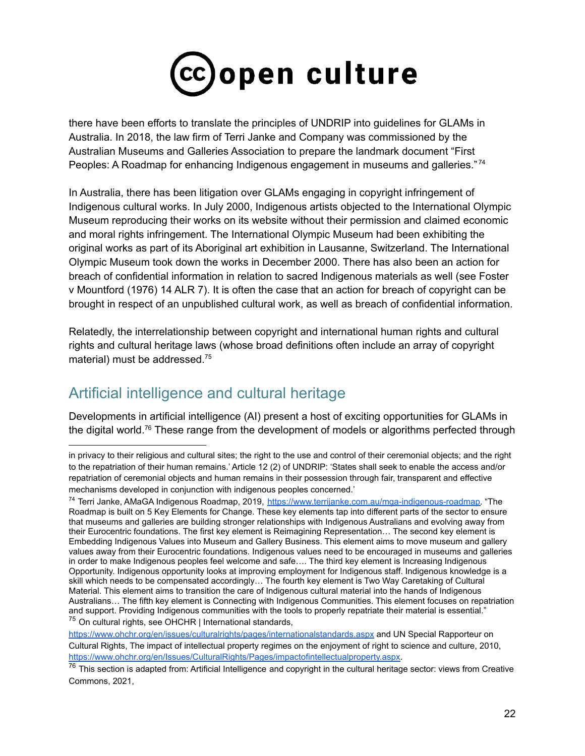

there have been efforts to translate the principles of UNDRIP into guidelines for GLAMs in Australia. In 2018, the law firm of Terri Janke and Company was commissioned by the Australian Museums and Galleries Association to prepare the landmark document "First Peoples: A Roadmap for enhancing Indigenous engagement in museums and galleries."74

In Australia, there has been litigation over GLAMs engaging in copyright infringement of Indigenous cultural works. In July 2000, Indigenous artists objected to the International Olympic Museum reproducing their works on its website without their permission and claimed economic and moral rights infringement. The International Olympic Museum had been exhibiting the original works as part of its Aboriginal art exhibition in Lausanne, Switzerland. The International Olympic Museum took down the works in December 2000. There has also been an action for breach of confidential information in relation to sacred Indigenous materials as well (see Foster v Mountford (1976) 14 ALR 7). It is often the case that an action for breach of copyright can be brought in respect of an unpublished cultural work, as well as breach of confidential information.

Relatedly, the interrelationship between copyright and international human rights and cultural rights and cultural heritage laws (whose broad definitions often include an array of copyright material) must be addressed. 75

# <span id="page-21-0"></span>Artificial intelligence and cultural heritage

Developments in artificial intelligence (AI) present a host of exciting opportunities for GLAMs in the digital world.<sup>76</sup> These range from the development of models or algorithms perfected through

in privacy to their religious and cultural sites; the right to the use and control of their ceremonial objects; and the right to the repatriation of their human remains.' Article 12 (2) of UNDRIP: 'States shall seek to enable the access and/or repatriation of ceremonial objects and human remains in their possession through fair, transparent and effective mechanisms developed in conjunction with indigenous peoples concerned.'

<sup>&</sup>lt;sup>75</sup> On cultural rights, see OHCHR | International standards, <sup>74</sup> Terri Janke, AMaGA Indigenous Roadmap, 2019, [https://www.terrijanke.com.au/mga-indigenous-roadmap.](https://www.terrijanke.com.au/mga-indigenous-roadmap) "The Roadmap is built on 5 Key Elements for Change. These key elements tap into different parts of the sector to ensure that museums and galleries are building stronger relationships with Indigenous Australians and evolving away from their Eurocentric foundations. The first key element is Reimagining Representation… The second key element is Embedding Indigenous Values into Museum and Gallery Business. This element aims to move museum and gallery values away from their Eurocentric foundations. Indigenous values need to be encouraged in museums and galleries in order to make Indigenous peoples feel welcome and safe…. The third key element is Increasing Indigenous Opportunity. Indigenous opportunity looks at improving employment for Indigenous staff. Indigenous knowledge is a skill which needs to be compensated accordingly… The fourth key element is Two Way Caretaking of Cultural Material. This element aims to transition the care of Indigenous cultural material into the hands of Indigenous Australians… The fifth key element is Connecting with Indigenous Communities. This element focuses on repatriation and support. Providing Indigenous communities with the tools to properly repatriate their material is essential."

<https://www.ohchr.org/en/issues/culturalrights/pages/internationalstandards.aspx> and UN Special Rapporteur on Cultural Rights, The impact of intellectual property regimes on the enjoyment of right to science and culture, 2010, <https://www.ohchr.org/en/Issues/CulturalRights/Pages/impactofintellectualproperty.aspx>.

 $76$  This section is adapted from: Artificial Intelligence and copyright in the cultural heritage sector: views from Creative Commons, 2021,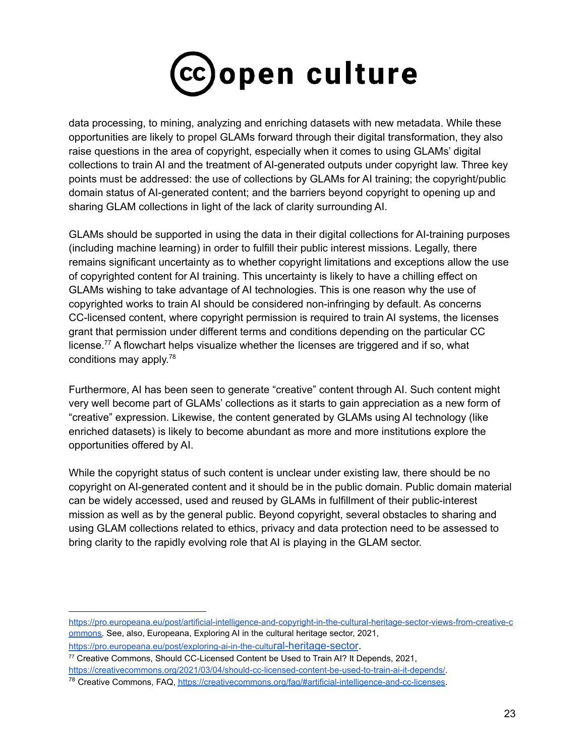

data processing, to mining, analyzing and enriching datasets with new metadata. While these opportunities are likely to propel GLAMs forward through their digital transformation, they also raise questions in the area of copyright, especially when it comes to using GLAMs' digital collections to train AI and the treatment of AI-generated outputs under copyright law. Three key points must be addressed: the use of collections by GLAMs for AI training; the copyright/public domain status of AI-generated content; and the barriers beyond copyright to opening up and sharing GLAM collections in light of the lack of clarity surrounding AI.

GLAMs should be supported in using the data in their digital collections for AI-training purposes (including machine learning) in order to fulfill their public interest missions. Legally, there remains significant uncertainty as to whether copyright limitations and exceptions allow the use of copyrighted content for AI training. This uncertainty is likely to have a chilling effect on GLAMs wishing to take advantage of AI technologies. This is one reason why the use of copyrighted works to train AI should be considered non-infringing by default. As concerns CC-licensed content, where copyright permission is required to train AI systems, the licenses grant that permission under different terms and conditions depending on the particular CC license.<sup>77</sup> A flowchart helps visualize whether the licenses are triggered and if so, what conditions may apply.<sup>78</sup>

Furthermore, AI has been seen to generate "creative" content through AI. Such content might very well become part of GLAMs' collections as it starts to gain appreciation as a new form of "creative" expression. Likewise, the content generated by GLAMs using AI technology (like enriched datasets) is likely to become abundant as more and more institutions explore the opportunities offered by AI.

While the copyright status of such content is unclear under existing law, there should be no copyright on AI-generated content and it should be in the public domain. Public domain material can be widely accessed, used and reused by GLAMs in fulfillment of their public-interest mission as well as by the general public. Beyond copyright, several obstacles to sharing and using GLAM collections related to ethics, privacy and data protection need to be assessed to bring clarity to the rapidly evolving role that AI is playing in the GLAM sector.

[https://pro.europeana.eu/post/artificial-intelligence-and-copyright-in-the-cultural-heritage-sector-views-from-creative-c](https://pro.europeana.eu/post/artificial-intelligence-and-copyright-in-the-cultural-heritage-sector-views-from-creative-commons) [ommons.](https://pro.europeana.eu/post/artificial-intelligence-and-copyright-in-the-cultural-heritage-sector-views-from-creative-commons) See, also, Europeana, Exploring AI in the cultural heritage sector, 2021, [https://pro.europeana.eu/post/exploring-ai-in-the-cultu](https://pro.europeana.eu/post/exploring-ai-in-the-cultural-heritage-sector)ral-heritage-sector.

<sup>77</sup> Creative Commons, Should CC-Licensed Content be Used to Train AI? It Depends, 2021, <https://creativecommons.org/2021/03/04/should-cc-licensed-content-be-used-to-train-ai-it-depends/>.

<sup>78</sup> Creative Commons, FAQ, <https://creativecommons.org/faq/#artificial-intelligence-and-cc-licenses>.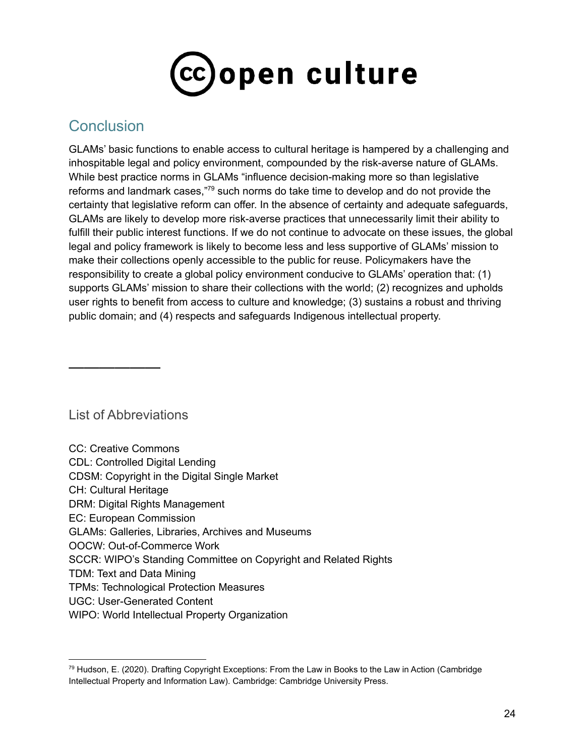

# **Conclusion**

GLAMs' basic functions to enable access to cultural heritage is hampered by a challenging and inhospitable legal and policy environment, compounded by the risk-averse nature of GLAMs. While best practice norms in GLAMs "influence decision-making more so than legislative reforms and landmark cases,"<sup>79</sup> such norms do take time to develop and do not provide the certainty that legislative reform can offer. In the absence of certainty and adequate safeguards, GLAMs are likely to develop more risk-averse practices that unnecessarily limit their ability to fulfill their public interest functions. If we do not continue to advocate on these issues, the global legal and policy framework is likely to become less and less supportive of GLAMs' mission to make their collections openly accessible to the public for reuse. Policymakers have the responsibility to create a global policy environment conducive to GLAMs' operation that: (1) supports GLAMs' mission to share their collections with the world; (2) recognizes and upholds user rights to benefit from access to culture and knowledge; (3) sustains a robust and thriving public domain; and (4) respects and safeguards Indigenous intellectual property.

List of Abbreviations

——————

| <b>CC: Creative Commons</b>                                     |
|-----------------------------------------------------------------|
| <b>CDL: Controlled Digital Lending</b>                          |
| CDSM: Copyright in the Digital Single Market                    |
| <b>CH: Cultural Heritage</b>                                    |
| DRM: Digital Rights Management                                  |
| EC: European Commission                                         |
| <b>GLAMs: Galleries, Libraries, Archives and Museums</b>        |
| OOCW: Out-of-Commerce Work                                      |
| SCCR: WIPO's Standing Committee on Copyright and Related Rights |
| TDM: Text and Data Mining                                       |
| TPMs: Technological Protection Measures                         |
| <b>UGC: User-Generated Content</b>                              |
| WIPO: World Intellectual Property Organization                  |
|                                                                 |

<sup>79</sup> Hudson, E. (2020). Drafting Copyright Exceptions: From the Law in Books to the Law in Action (Cambridge Intellectual Property and Information Law). Cambridge: Cambridge University Press.